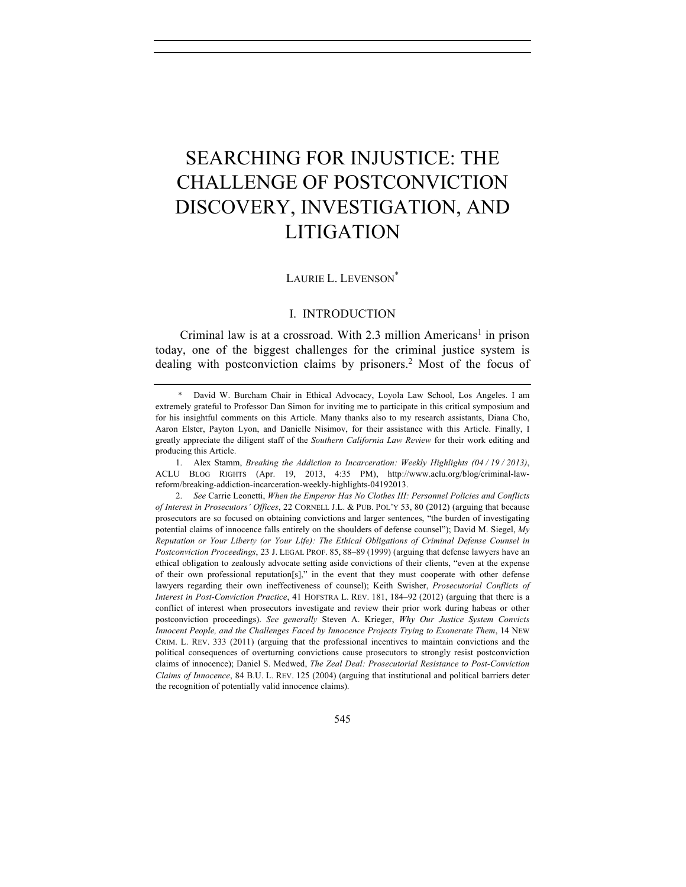# SEARCHING FOR INJUSTICE: THE CHALLENGE OF POSTCONVICTION DISCOVERY, INVESTIGATION, AND LITIGATION

## LAURIE L. LEVENSON<sup>\*</sup>

# I. INTRODUCTION

Criminal law is at a crossroad. With 2.3 million  $Americans<sup>1</sup>$  in prison today, one of the biggest challenges for the criminal justice system is dealing with postconviction claims by prisoners.<sup>2</sup> Most of the focus of

<sup>\*</sup> David W. Burcham Chair in Ethical Advocacy, Loyola Law School, Los Angeles. I am extremely grateful to Professor Dan Simon for inviting me to participate in this critical symposium and for his insightful comments on this Article. Many thanks also to my research assistants, Diana Cho, Aaron Elster, Payton Lyon, and Danielle Nisimov, for their assistance with this Article. Finally, I greatly appreciate the diligent staff of the *Southern California Law Review* for their work editing and producing this Article.

<sup>1.</sup> Alex Stamm, *Breaking the Addiction to Incarceration: Weekly Highlights (04 / 19 / 2013)*, ACLU BLOG RIGHTS (Apr. 19, 2013, 4:35 PM), http://www.aclu.org/blog/criminal-lawreform/breaking-addiction-incarceration-weekly-highlights-04192013.

<sup>2.</sup> *See* Carrie Leonetti, *When the Emperor Has No Clothes III: Personnel Policies and Conflicts of Interest in Prosecutors' Offices*, 22 CORNELL J.L. & PUB. POL'Y 53, 80 (2012) (arguing that because prosecutors are so focused on obtaining convictions and larger sentences, "the burden of investigating potential claims of innocence falls entirely on the shoulders of defense counsel"); David M. Siegel, *My Reputation or Your Liberty (or Your Life): The Ethical Obligations of Criminal Defense Counsel in Postconviction Proceedings*, 23 J. LEGAL PROF. 85, 88–89 (1999) (arguing that defense lawyers have an ethical obligation to zealously advocate setting aside convictions of their clients, "even at the expense of their own professional reputation[s]," in the event that they must cooperate with other defense lawyers regarding their own ineffectiveness of counsel); Keith Swisher, *Prosecutorial Conflicts of Interest in Post-Conviction Practice*, 41 HOFSTRA L. REV. 181, 184–92 (2012) (arguing that there is a conflict of interest when prosecutors investigate and review their prior work during habeas or other postconviction proceedings). *See generally* Steven A. Krieger, *Why Our Justice System Convicts Innocent People, and the Challenges Faced by Innocence Projects Trying to Exonerate Them*, 14 NEW CRIM. L. REV. 333 (2011) (arguing that the professional incentives to maintain convictions and the political consequences of overturning convictions cause prosecutors to strongly resist postconviction claims of innocence); Daniel S. Medwed, *The Zeal Deal: Prosecutorial Resistance to Post-Conviction Claims of Innocence*, 84 B.U. L. REV. 125 (2004) (arguing that institutional and political barriers deter the recognition of potentially valid innocence claims).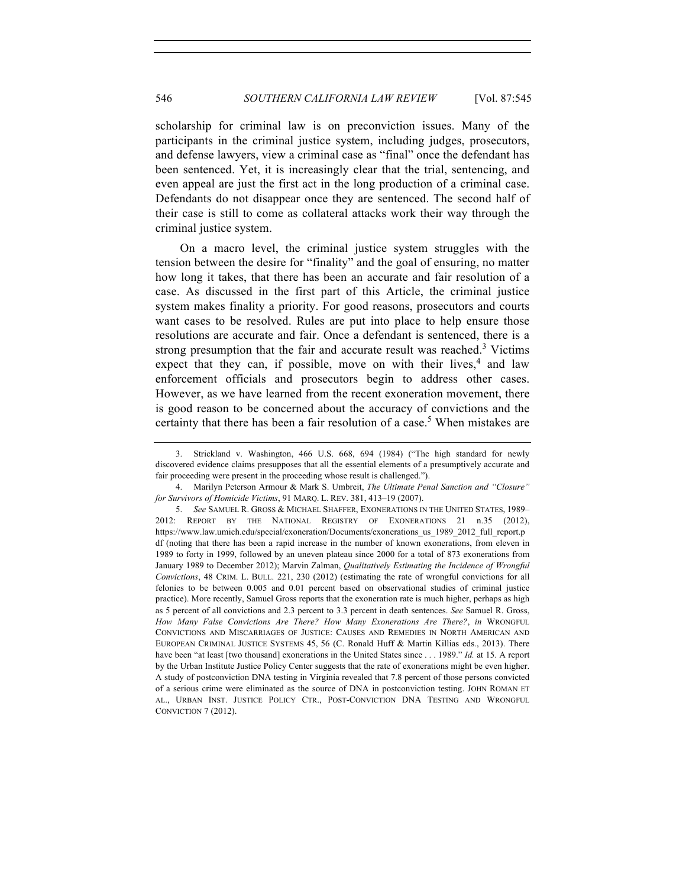scholarship for criminal law is on preconviction issues. Many of the participants in the criminal justice system, including judges, prosecutors, and defense lawyers, view a criminal case as "final" once the defendant has been sentenced. Yet, it is increasingly clear that the trial, sentencing, and even appeal are just the first act in the long production of a criminal case. Defendants do not disappear once they are sentenced. The second half of their case is still to come as collateral attacks work their way through the criminal justice system.

On a macro level, the criminal justice system struggles with the tension between the desire for "finality" and the goal of ensuring, no matter how long it takes, that there has been an accurate and fair resolution of a case. As discussed in the first part of this Article, the criminal justice system makes finality a priority. For good reasons, prosecutors and courts want cases to be resolved. Rules are put into place to help ensure those resolutions are accurate and fair. Once a defendant is sentenced, there is a strong presumption that the fair and accurate result was reached.<sup>3</sup> Victims expect that they can, if possible, move on with their lives, $4$  and law enforcement officials and prosecutors begin to address other cases. However, as we have learned from the recent exoneration movement, there is good reason to be concerned about the accuracy of convictions and the certainty that there has been a fair resolution of a case.<sup>5</sup> When mistakes are

<sup>3.</sup> Strickland v. Washington, 466 U.S. 668, 694 (1984) ("The high standard for newly discovered evidence claims presupposes that all the essential elements of a presumptively accurate and fair proceeding were present in the proceeding whose result is challenged.").

<sup>4.</sup> Marilyn Peterson Armour & Mark S. Umbreit, *The Ultimate Penal Sanction and "Closure" for Survivors of Homicide Victims*, 91 MARQ. L. REV. 381, 413–19 (2007).

<sup>5.</sup> *See* SAMUEL R. GROSS & MICHAEL SHAFFER, EXONERATIONS IN THE UNITED STATES, 1989– 2012: REPORT BY THE NATIONAL REGISTRY OF EXONERATIONS 21 n.35 (2012), https://www.law.umich.edu/special/exoneration/Documents/exonerations\_us\_1989\_2012\_full\_report.p df (noting that there has been a rapid increase in the number of known exonerations, from eleven in 1989 to forty in 1999, followed by an uneven plateau since 2000 for a total of 873 exonerations from January 1989 to December 2012); Marvin Zalman, *Qualitatively Estimating the Incidence of Wrongful Convictions*, 48 CRIM. L. BULL. 221, 230 (2012) (estimating the rate of wrongful convictions for all felonies to be between 0.005 and 0.01 percent based on observational studies of criminal justice practice). More recently, Samuel Gross reports that the exoneration rate is much higher, perhaps as high as 5 percent of all convictions and 2.3 percent to 3.3 percent in death sentences. *See* Samuel R. Gross, *How Many False Convictions Are There? How Many Exonerations Are There?*, *in* WRONGFUL CONVICTIONS AND MISCARRIAGES OF JUSTICE: CAUSES AND REMEDIES IN NORTH AMERICAN AND EUROPEAN CRIMINAL JUSTICE SYSTEMS 45, 56 (C. Ronald Huff & Martin Killias eds., 2013). There have been "at least [two thousand] exonerations in the United States since . . . 1989." *Id.* at 15. A report by the Urban Institute Justice Policy Center suggests that the rate of exonerations might be even higher. A study of postconviction DNA testing in Virginia revealed that 7.8 percent of those persons convicted of a serious crime were eliminated as the source of DNA in postconviction testing. JOHN ROMAN ET AL., URBAN INST. JUSTICE POLICY CTR., POST-CONVICTION DNA TESTING AND WRONGFUL CONVICTION 7 (2012).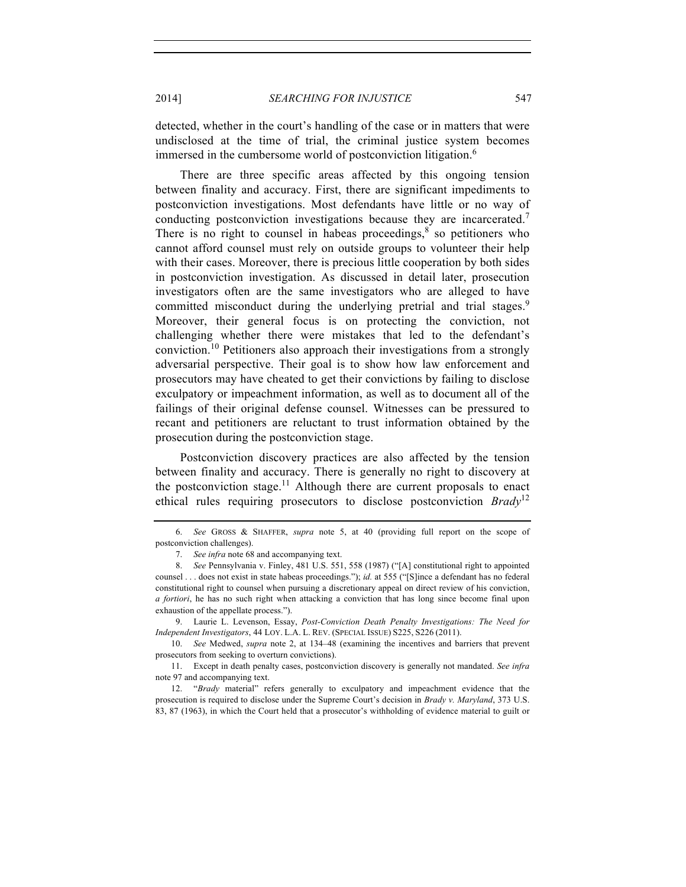2014] *SEARCHING FOR INJUSTICE* 547

detected, whether in the court's handling of the case or in matters that were undisclosed at the time of trial, the criminal justice system becomes immersed in the cumbersome world of postconviction litigation.<sup>6</sup>

There are three specific areas affected by this ongoing tension between finality and accuracy. First, there are significant impediments to postconviction investigations. Most defendants have little or no way of conducting postconviction investigations because they are incarcerated.<sup>7</sup> There is no right to counsel in habeas proceedings, <sup>8</sup> so petitioners who cannot afford counsel must rely on outside groups to volunteer their help with their cases. Moreover, there is precious little cooperation by both sides in postconviction investigation. As discussed in detail later, prosecution investigators often are the same investigators who are alleged to have committed misconduct during the underlying pretrial and trial stages.<sup>9</sup> Moreover, their general focus is on protecting the conviction, not challenging whether there were mistakes that led to the defendant's conviction.<sup>10</sup> Petitioners also approach their investigations from a strongly adversarial perspective. Their goal is to show how law enforcement and prosecutors may have cheated to get their convictions by failing to disclose exculpatory or impeachment information, as well as to document all of the failings of their original defense counsel. Witnesses can be pressured to recant and petitioners are reluctant to trust information obtained by the prosecution during the postconviction stage.

Postconviction discovery practices are also affected by the tension between finality and accuracy. There is generally no right to discovery at the postconviction stage.<sup>11</sup> Although there are current proposals to enact ethical rules requiring prosecutors to disclose postconviction *Brady*<sup>12</sup>

9. Laurie L. Levenson, Essay, *Post-Conviction Death Penalty Investigations: The Need for Independent Investigators*, 44 LOY. L.A. L. REV. (SPECIAL ISSUE) S225, S226 (2011).

10. *See* Medwed, *supra* note 2, at 134–48 (examining the incentives and barriers that prevent prosecutors from seeking to overturn convictions).

11. Except in death penalty cases, postconviction discovery is generally not mandated. *See infra* note 97 and accompanying text.

12. "*Brady* material" refers generally to exculpatory and impeachment evidence that the prosecution is required to disclose under the Supreme Court's decision in *Brady v. Maryland*, 373 U.S. 83, 87 (1963), in which the Court held that a prosecutor's withholding of evidence material to guilt or

<sup>6.</sup> *See* GROSS & SHAFFER, *supra* note 5, at 40 (providing full report on the scope of postconviction challenges).

<sup>7.</sup> *See infra* note 68 and accompanying text.

<sup>8.</sup> *See* Pennsylvania v. Finley, 481 U.S. 551, 558 (1987) ("[A] constitutional right to appointed counsel . . . does not exist in state habeas proceedings."); *id.* at 555 ("[S]ince a defendant has no federal constitutional right to counsel when pursuing a discretionary appeal on direct review of his conviction, *a fortiori*, he has no such right when attacking a conviction that has long since become final upon exhaustion of the appellate process.").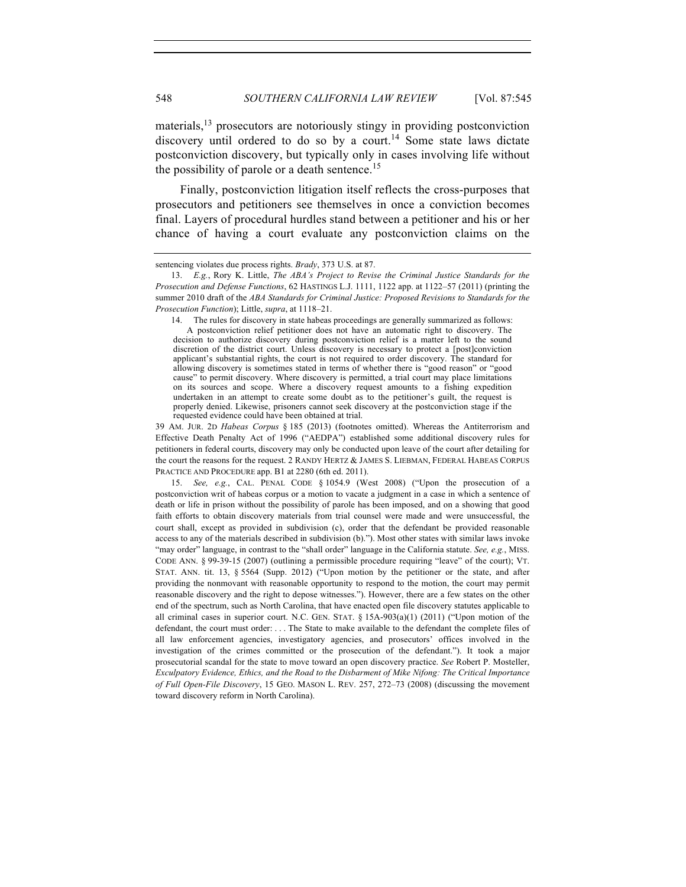materials,<sup>13</sup> prosecutors are notoriously stingy in providing postconviction discovery until ordered to do so by a court.<sup>14</sup> Some state laws dictate postconviction discovery, but typically only in cases involving life without the possibility of parole or a death sentence.<sup>15</sup>

Finally, postconviction litigation itself reflects the cross-purposes that prosecutors and petitioners see themselves in once a conviction becomes final. Layers of procedural hurdles stand between a petitioner and his or her chance of having a court evaluate any postconviction claims on the

14. The rules for discovery in state habeas proceedings are generally summarized as follows: A postconviction relief petitioner does not have an automatic right to discovery. The decision to authorize discovery during postconviction relief is a matter left to the sound discretion of the district court. Unless discovery is necessary to protect a [post]conviction applicant's substantial rights, the court is not required to order discovery. The standard for allowing discovery is sometimes stated in terms of whether there is "good reason" or "good cause" to permit discovery. Where discovery is permitted, a trial court may place limitations on its sources and scope. Where a discovery request amounts to a fishing expedition undertaken in an attempt to create some doubt as to the petitioner's guilt, the request is properly denied. Likewise, prisoners cannot seek discovery at the postconviction stage if the requested evidence could have been obtained at trial.

39 AM. JUR. 2D *Habeas Corpus* § 185 (2013) (footnotes omitted). Whereas the Antiterrorism and Effective Death Penalty Act of 1996 ("AEDPA") established some additional discovery rules for petitioners in federal courts, discovery may only be conducted upon leave of the court after detailing for the court the reasons for the request. 2 RANDY HERTZ & JAMES S. LIEBMAN, FEDERAL HABEAS CORPUS PRACTICE AND PROCEDURE app. B1 at 2280 (6th ed. 2011).

15. *See, e.g.*, CAL. PENAL CODE § 1054.9 (West 2008) ("Upon the prosecution of a postconviction writ of habeas corpus or a motion to vacate a judgment in a case in which a sentence of death or life in prison without the possibility of parole has been imposed, and on a showing that good faith efforts to obtain discovery materials from trial counsel were made and were unsuccessful, the court shall, except as provided in subdivision (c), order that the defendant be provided reasonable access to any of the materials described in subdivision (b)."). Most other states with similar laws invoke "may order" language, in contrast to the "shall order" language in the California statute. *See, e.g.*, MISS. CODE ANN. § 99-39-15 (2007) (outlining a permissible procedure requiring "leave" of the court); VT. STAT. ANN. tit. 13, § 5564 (Supp. 2012) ("Upon motion by the petitioner or the state, and after providing the nonmovant with reasonable opportunity to respond to the motion, the court may permit reasonable discovery and the right to depose witnesses."). However, there are a few states on the other end of the spectrum, such as North Carolina, that have enacted open file discovery statutes applicable to all criminal cases in superior court. N.C. GEN. STAT. § 15A-903(a)(1) (2011) ("Upon motion of the defendant, the court must order: . . . The State to make available to the defendant the complete files of all law enforcement agencies, investigatory agencies, and prosecutors' offices involved in the investigation of the crimes committed or the prosecution of the defendant."). It took a major prosecutorial scandal for the state to move toward an open discovery practice. *See* Robert P. Mosteller, *Exculpatory Evidence, Ethics, and the Road to the Disbarment of Mike Nifong: The Critical Importance of Full Open-File Discovery*, 15 GEO. MASON L. REV. 257, 272–73 (2008) (discussing the movement toward discovery reform in North Carolina).

sentencing violates due process rights. *Brady*, 373 U.S. at 87.

<sup>13.</sup> *E.g.*, Rory K. Little, *The ABA's Project to Revise the Criminal Justice Standards for the Prosecution and Defense Functions*, 62 HASTINGS L.J. 1111, 1122 app. at 1122–57 (2011) (printing the summer 2010 draft of the *ABA Standards for Criminal Justice: Proposed Revisions to Standards for the Prosecution Function*); Little, *supra*, at 1118–21.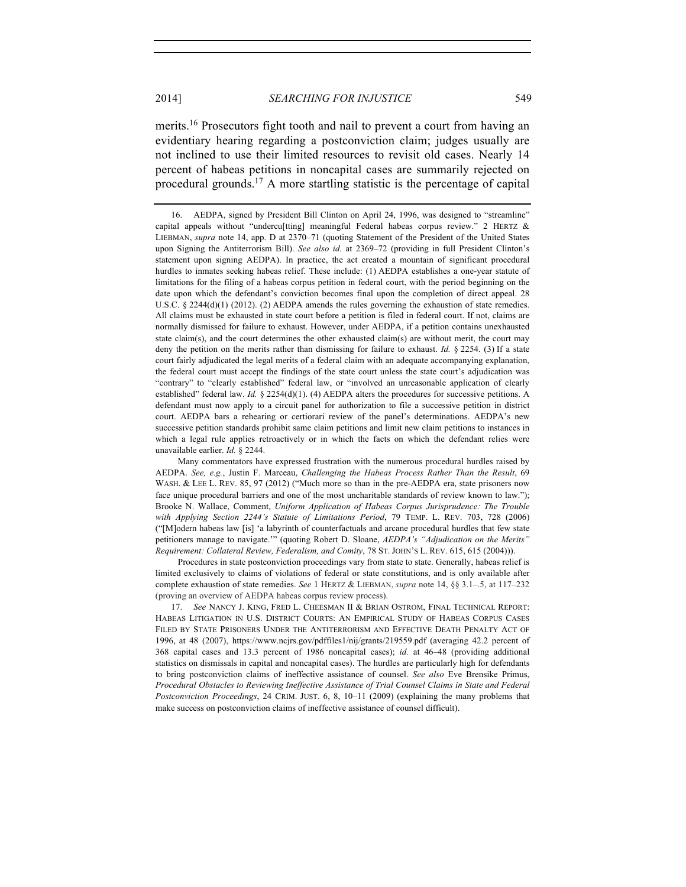merits.<sup>16</sup> Prosecutors fight tooth and nail to prevent a court from having an evidentiary hearing regarding a postconviction claim; judges usually are not inclined to use their limited resources to revisit old cases. Nearly 14 percent of habeas petitions in noncapital cases are summarily rejected on procedural grounds.<sup>17</sup> A more startling statistic is the percentage of capital

Procedures in state postconviction proceedings vary from state to state. Generally, habeas relief is limited exclusively to claims of violations of federal or state constitutions, and is only available after complete exhaustion of state remedies. *See* 1 HERTZ & LIEBMAN, *supra* note 14, §§ 3.1–.5, at 117–232 (proving an overview of AEDPA habeas corpus review process).

17. *See* NANCY J. KING, FRED L. CHEESMAN II & BRIAN OSTROM, FINAL TECHNICAL REPORT: HABEAS LITIGATION IN U.S. DISTRICT COURTS: AN EMPIRICAL STUDY OF HABEAS CORPUS CASES FILED BY STATE PRISONERS UNDER THE ANTITERRORISM AND EFFECTIVE DEATH PENALTY ACT OF 1996, at 48 (2007), https://www.ncjrs.gov/pdffiles1/nij/grants/219559.pdf (averaging 42.2 percent of 368 capital cases and 13.3 percent of 1986 noncapital cases); *id.* at 46–48 (providing additional statistics on dismissals in capital and noncapital cases). The hurdles are particularly high for defendants to bring postconviction claims of ineffective assistance of counsel. *See also* Eve Brensike Primus, *Procedural Obstacles to Reviewing Ineffective Assistance of Trial Counsel Claims in State and Federal Postconviction Proceedings*, 24 CRIM. JUST. 6, 8, 10–11 (2009) (explaining the many problems that make success on postconviction claims of ineffective assistance of counsel difficult).

<sup>16.</sup> AEDPA, signed by President Bill Clinton on April 24, 1996, was designed to "streamline" capital appeals without "undercu[tting] meaningful Federal habeas corpus review." 2 HERTZ & LIEBMAN, *supra* note 14, app. D at 2370–71 (quoting Statement of the President of the United States upon Signing the Antiterrorism Bill). *See also id.* at 2369–72 (providing in full President Clinton's statement upon signing AEDPA). In practice, the act created a mountain of significant procedural hurdles to inmates seeking habeas relief. These include: (1) AEDPA establishes a one-year statute of limitations for the filing of a habeas corpus petition in federal court, with the period beginning on the date upon which the defendant's conviction becomes final upon the completion of direct appeal. 28 U.S.C.  $\S 2244(d)(1)$  (2012). (2) AEDPA amends the rules governing the exhaustion of state remedies. All claims must be exhausted in state court before a petition is filed in federal court. If not, claims are normally dismissed for failure to exhaust. However, under AEDPA, if a petition contains unexhausted state claim(s), and the court determines the other exhausted claim(s) are without merit, the court may deny the petition on the merits rather than dismissing for failure to exhaust. *Id.* § 2254. (3) If a state court fairly adjudicated the legal merits of a federal claim with an adequate accompanying explanation, the federal court must accept the findings of the state court unless the state court's adjudication was "contrary" to "clearly established" federal law, or "involved an unreasonable application of clearly established" federal law. *Id.* § 2254(d)(1). (4) AEDPA alters the procedures for successive petitions. A defendant must now apply to a circuit panel for authorization to file a successive petition in district court. AEDPA bars a rehearing or certiorari review of the panel's determinations. AEDPA's new successive petition standards prohibit same claim petitions and limit new claim petitions to instances in which a legal rule applies retroactively or in which the facts on which the defendant relies were unavailable earlier. *Id.* § 2244.

Many commentators have expressed frustration with the numerous procedural hurdles raised by AEDPA. *See, e.g.*, Justin F. Marceau, *Challenging the Habeas Process Rather Than the Result*, 69 WASH. & LEE L. REV. 85, 97 (2012) ("Much more so than in the pre-AEDPA era, state prisoners now face unique procedural barriers and one of the most uncharitable standards of review known to law."); Brooke N. Wallace, Comment, *Uniform Application of Habeas Corpus Jurisprudence: The Trouble with Applying Section 2244's Statute of Limitations Period*, 79 TEMP. L. REV. 703, 728 (2006) ("[M]odern habeas law [is] 'a labyrinth of counterfactuals and arcane procedural hurdles that few state petitioners manage to navigate.'" (quoting Robert D. Sloane, *AEDPA's "Adjudication on the Merits" Requirement: Collateral Review, Federalism, and Comity*, 78 ST. JOHN'S L. REV. 615, 615 (2004))).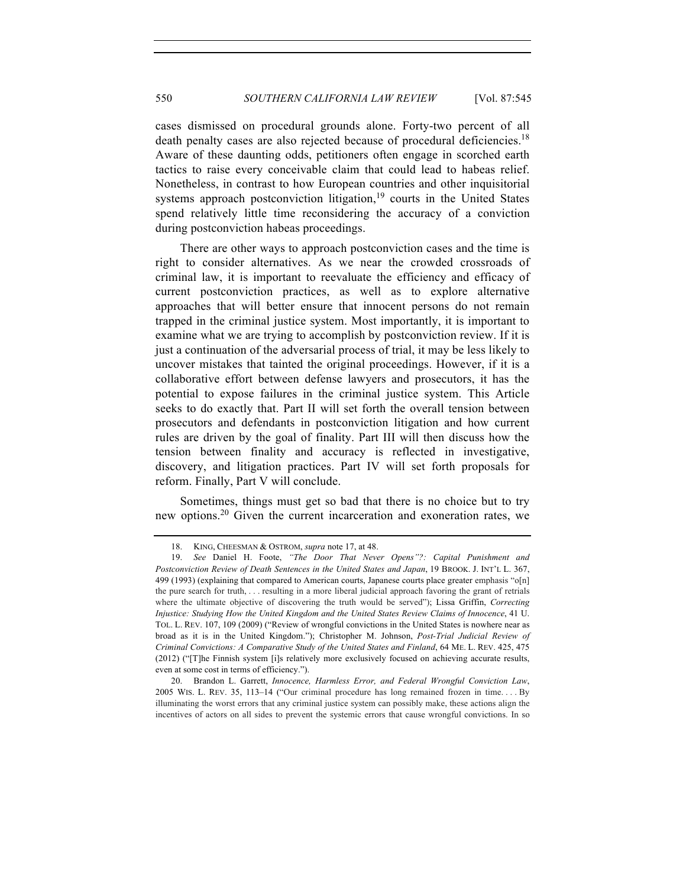cases dismissed on procedural grounds alone. Forty-two percent of all death penalty cases are also rejected because of procedural deficiencies.<sup>18</sup> Aware of these daunting odds, petitioners often engage in scorched earth tactics to raise every conceivable claim that could lead to habeas relief. Nonetheless, in contrast to how European countries and other inquisitorial systems approach postconviction litigation,  $19$  courts in the United States spend relatively little time reconsidering the accuracy of a conviction during postconviction habeas proceedings.

There are other ways to approach postconviction cases and the time is right to consider alternatives. As we near the crowded crossroads of criminal law, it is important to reevaluate the efficiency and efficacy of current postconviction practices, as well as to explore alternative approaches that will better ensure that innocent persons do not remain trapped in the criminal justice system. Most importantly, it is important to examine what we are trying to accomplish by postconviction review. If it is just a continuation of the adversarial process of trial, it may be less likely to uncover mistakes that tainted the original proceedings. However, if it is a collaborative effort between defense lawyers and prosecutors, it has the potential to expose failures in the criminal justice system. This Article seeks to do exactly that. Part II will set forth the overall tension between prosecutors and defendants in postconviction litigation and how current rules are driven by the goal of finality. Part III will then discuss how the tension between finality and accuracy is reflected in investigative, discovery, and litigation practices. Part IV will set forth proposals for reform. Finally, Part V will conclude.

Sometimes, things must get so bad that there is no choice but to try new options.20 Given the current incarceration and exoneration rates, we

<sup>18.</sup> KING, CHEESMAN & OSTROM, *supra* note 17, at 48.

<sup>19.</sup> *See* Daniel H. Foote, *"The Door That Never Opens"?: Capital Punishment and Postconviction Review of Death Sentences in the United States and Japan*, 19 BROOK. J. INT'L L. 367, 499 (1993) (explaining that compared to American courts, Japanese courts place greater emphasis "o[n] the pure search for truth, . . . resulting in a more liberal judicial approach favoring the grant of retrials where the ultimate objective of discovering the truth would be served"); Lissa Griffin, *Correcting Injustice: Studying How the United Kingdom and the United States Review Claims of Innocence*, 41 U. TOL. L. REV. 107, 109 (2009) ("Review of wrongful convictions in the United States is nowhere near as broad as it is in the United Kingdom."); Christopher M. Johnson, *Post-Trial Judicial Review of Criminal Convictions: A Comparative Study of the United States and Finland*, 64 ME. L. REV. 425, 475 (2012) ("[T]he Finnish system [i]s relatively more exclusively focused on achieving accurate results, even at some cost in terms of efficiency.").

<sup>20.</sup> Brandon L. Garrett, *Innocence, Harmless Error, and Federal Wrongful Conviction Law*, 2005 WIS. L. REV. 35, 113–14 ("Our criminal procedure has long remained frozen in time. . . . By illuminating the worst errors that any criminal justice system can possibly make, these actions align the incentives of actors on all sides to prevent the systemic errors that cause wrongful convictions. In so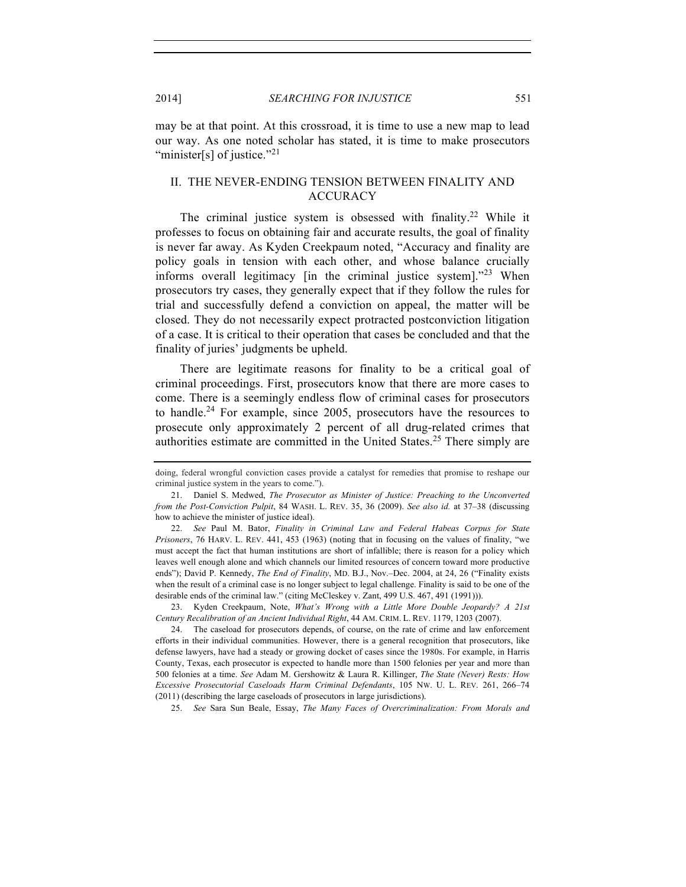2014] *SEARCHING FOR INJUSTICE* 551

may be at that point. At this crossroad, it is time to use a new map to lead our way. As one noted scholar has stated, it is time to make prosecutors "minister[s] of justice."<sup>21</sup>

# II. THE NEVER-ENDING TENSION BETWEEN FINALITY AND ACCURACY

The criminal justice system is obsessed with finality.<sup>22</sup> While it professes to focus on obtaining fair and accurate results, the goal of finality is never far away. As Kyden Creekpaum noted, "Accuracy and finality are policy goals in tension with each other, and whose balance crucially informs overall legitimacy [in the criminal justice system]."<sup>23</sup> When prosecutors try cases, they generally expect that if they follow the rules for trial and successfully defend a conviction on appeal, the matter will be closed. They do not necessarily expect protracted postconviction litigation of a case. It is critical to their operation that cases be concluded and that the finality of juries' judgments be upheld.

There are legitimate reasons for finality to be a critical goal of criminal proceedings. First, prosecutors know that there are more cases to come. There is a seemingly endless flow of criminal cases for prosecutors to handle.<sup>24</sup> For example, since 2005, prosecutors have the resources to prosecute only approximately 2 percent of all drug-related crimes that authorities estimate are committed in the United States. <sup>25</sup> There simply are

23. Kyden Creekpaum, Note, *What's Wrong with a Little More Double Jeopardy? A 21st Century Recalibration of an Ancient Individual Right*, 44 AM. CRIM. L. REV. 1179, 1203 (2007).

25. *See* Sara Sun Beale, Essay, *The Many Faces of Overcriminalization: From Morals and* 

doing, federal wrongful conviction cases provide a catalyst for remedies that promise to reshape our criminal justice system in the years to come.").

<sup>21.</sup> Daniel S. Medwed, *The Prosecutor as Minister of Justice: Preaching to the Unconverted from the Post-Conviction Pulpit*, 84 WASH. L. REV. 35, 36 (2009). *See also id.* at 37–38 (discussing how to achieve the minister of justice ideal).

<sup>22.</sup> *See* Paul M. Bator, *Finality in Criminal Law and Federal Habeas Corpus for State Prisoners*, 76 HARV. L. REV. 441, 453 (1963) (noting that in focusing on the values of finality, "we must accept the fact that human institutions are short of infallible; there is reason for a policy which leaves well enough alone and which channels our limited resources of concern toward more productive ends"); David P. Kennedy, *The End of Finality*, MD. B.J., Nov.–Dec. 2004, at 24, 26 ("Finality exists when the result of a criminal case is no longer subject to legal challenge. Finality is said to be one of the desirable ends of the criminal law." (citing McCleskey v. Zant, 499 U.S. 467, 491 (1991))).

<sup>24.</sup> The caseload for prosecutors depends, of course, on the rate of crime and law enforcement efforts in their individual communities. However, there is a general recognition that prosecutors, like defense lawyers, have had a steady or growing docket of cases since the 1980s. For example, in Harris County, Texas, each prosecutor is expected to handle more than 1500 felonies per year and more than 500 felonies at a time. *See* Adam M. Gershowitz & Laura R. Killinger, *The State (Never) Rests: How Excessive Prosecutorial Caseloads Harm Criminal Defendants*, 105 NW. U. L. REV. 261, 266–74 (2011) (describing the large caseloads of prosecutors in large jurisdictions).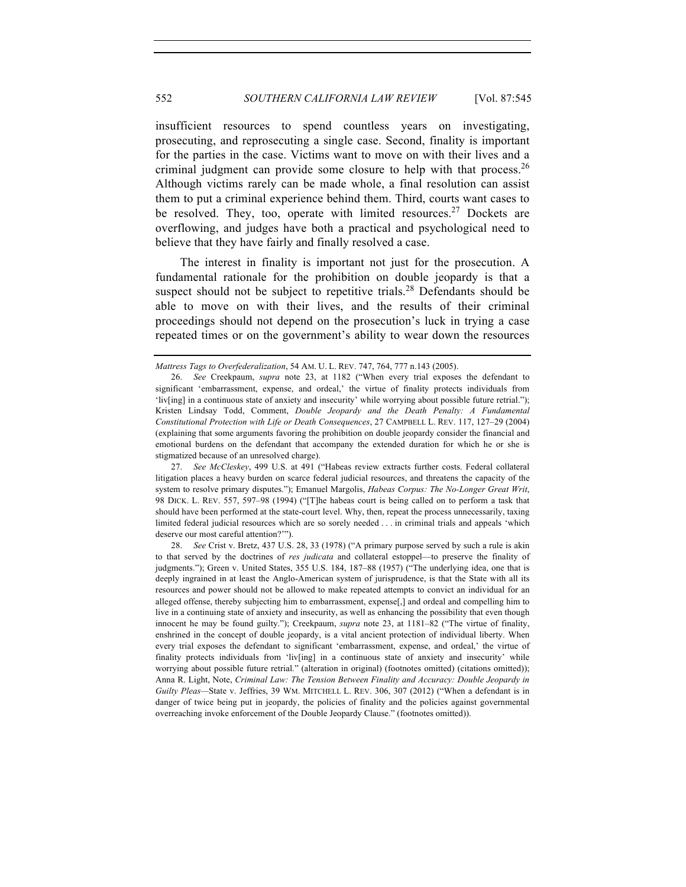insufficient resources to spend countless years on investigating, prosecuting, and reprosecuting a single case. Second, finality is important for the parties in the case. Victims want to move on with their lives and a criminal judgment can provide some closure to help with that process.<sup>26</sup> Although victims rarely can be made whole, a final resolution can assist them to put a criminal experience behind them. Third, courts want cases to be resolved. They, too, operate with limited resources.<sup>27</sup> Dockets are overflowing, and judges have both a practical and psychological need to believe that they have fairly and finally resolved a case.

The interest in finality is important not just for the prosecution. A fundamental rationale for the prohibition on double jeopardy is that a suspect should not be subject to repetitive trials.<sup>28</sup> Defendants should be able to move on with their lives, and the results of their criminal proceedings should not depend on the prosecution's luck in trying a case repeated times or on the government's ability to wear down the resources

27. *See McCleskey*, 499 U.S. at 491 ("Habeas review extracts further costs. Federal collateral litigation places a heavy burden on scarce federal judicial resources, and threatens the capacity of the system to resolve primary disputes."); Emanuel Margolis, *Habeas Corpus: The No-Longer Great Writ*, 98 DICK. L. REV. 557, 597–98 (1994) ("[T]he habeas court is being called on to perform a task that should have been performed at the state-court level. Why, then, repeat the process unnecessarily, taxing limited federal judicial resources which are so sorely needed . . . in criminal trials and appeals 'which deserve our most careful attention?'").

28. *See* Crist v. Bretz, 437 U.S. 28, 33 (1978) ("A primary purpose served by such a rule is akin to that served by the doctrines of *res judicata* and collateral estoppel—to preserve the finality of judgments."); Green v. United States, 355 U.S. 184, 187–88 (1957) ("The underlying idea, one that is deeply ingrained in at least the Anglo-American system of jurisprudence, is that the State with all its resources and power should not be allowed to make repeated attempts to convict an individual for an alleged offense, thereby subjecting him to embarrassment, expense[,] and ordeal and compelling him to live in a continuing state of anxiety and insecurity, as well as enhancing the possibility that even though innocent he may be found guilty."); Creekpaum, *supra* note 23, at 1181–82 ("The virtue of finality, enshrined in the concept of double jeopardy, is a vital ancient protection of individual liberty. When every trial exposes the defendant to significant 'embarrassment, expense, and ordeal,' the virtue of finality protects individuals from 'liv[ing] in a continuous state of anxiety and insecurity' while worrying about possible future retrial." (alteration in original) (footnotes omitted) (citations omitted)); Anna R. Light, Note, *Criminal Law: The Tension Between Finality and Accuracy: Double Jeopardy in Guilty Pleas—*State v. Jeffries, 39 WM. MITCHELL L. REV. 306, 307 (2012) ("When a defendant is in danger of twice being put in jeopardy, the policies of finality and the policies against governmental overreaching invoke enforcement of the Double Jeopardy Clause." (footnotes omitted)).

*Mattress Tags to Overfederalization*, 54 AM. U. L. REV. 747, 764, 777 n.143 (2005).

<sup>26.</sup> *See* Creekpaum, *supra* note 23, at 1182 ("When every trial exposes the defendant to significant 'embarrassment, expense, and ordeal,' the virtue of finality protects individuals from 'liv[ing] in a continuous state of anxiety and insecurity' while worrying about possible future retrial."); Kristen Lindsay Todd, Comment, *Double Jeopardy and the Death Penalty: A Fundamental Constitutional Protection with Life or Death Consequences*, 27 CAMPBELL L. REV. 117, 127–29 (2004) (explaining that some arguments favoring the prohibition on double jeopardy consider the financial and emotional burdens on the defendant that accompany the extended duration for which he or she is stigmatized because of an unresolved charge).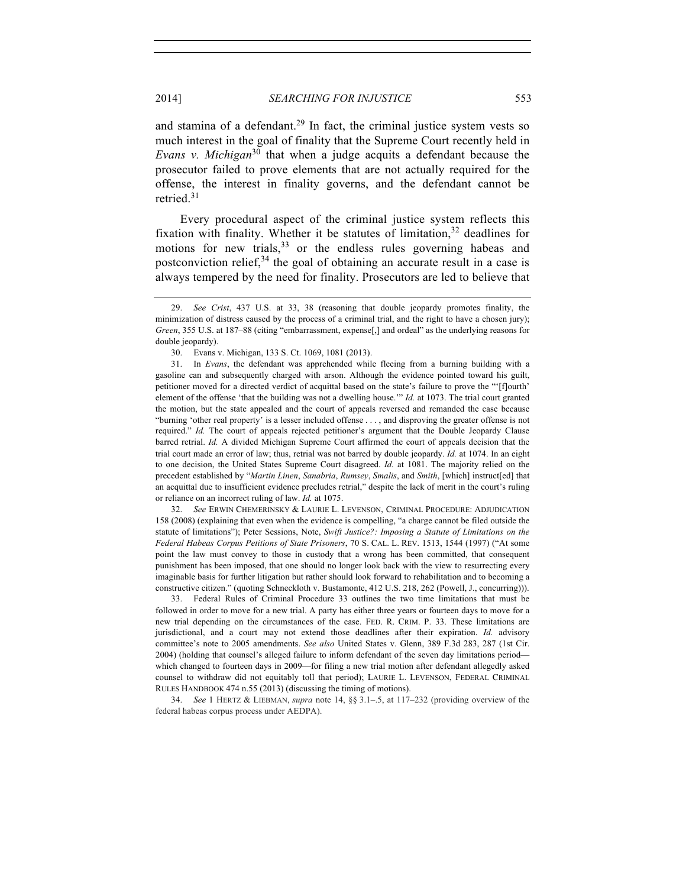and stamina of a defendant.<sup>29</sup> In fact, the criminal justice system vests so much interest in the goal of finality that the Supreme Court recently held in *Evans v. Michigan*<sup>30</sup> that when a judge acquits a defendant because the prosecutor failed to prove elements that are not actually required for the offense, the interest in finality governs, and the defendant cannot be retried.<sup>31</sup>

Every procedural aspect of the criminal justice system reflects this fixation with finality. Whether it be statutes of limitation,  $32$  deadlines for motions for new trials,  $33$  or the endless rules governing habeas and postconviction relief,  $34$  the goal of obtaining an accurate result in a case is always tempered by the need for finality. Prosecutors are led to believe that

32. *See* ERWIN CHEMERINSKY & LAURIE L. LEVENSON, CRIMINAL PROCEDURE: ADJUDICATION 158 (2008) (explaining that even when the evidence is compelling, "a charge cannot be filed outside the statute of limitations"); Peter Sessions, Note, *Swift Justice?: Imposing a Statute of Limitations on the Federal Habeas Corpus Petitions of State Prisoners*, 70 S. CAL. L. REV. 1513, 1544 (1997) ("At some point the law must convey to those in custody that a wrong has been committed, that consequent punishment has been imposed, that one should no longer look back with the view to resurrecting every imaginable basis for further litigation but rather should look forward to rehabilitation and to becoming a constructive citizen." (quoting Schneckloth v. Bustamonte, 412 U.S. 218, 262 (Powell, J., concurring))).

33. Federal Rules of Criminal Procedure 33 outlines the two time limitations that must be followed in order to move for a new trial. A party has either three years or fourteen days to move for a new trial depending on the circumstances of the case. FED. R. CRIM. P. 33. These limitations are jurisdictional, and a court may not extend those deadlines after their expiration. *Id.* advisory committee's note to 2005 amendments. *See also* United States v. Glenn, 389 F.3d 283, 287 (1st Cir. 2004) (holding that counsel's alleged failure to inform defendant of the seven day limitations period which changed to fourteen days in 2009—for filing a new trial motion after defendant allegedly asked counsel to withdraw did not equitably toll that period); LAURIE L. LEVENSON, FEDERAL CRIMINAL RULES HANDBOOK 474 n.55 (2013) (discussing the timing of motions).

34. *See* 1 HERTZ & LIEBMAN, *supra* note 14, §§ 3.1–.5, at 117–232 (providing overview of the federal habeas corpus process under AEDPA).

<sup>29.</sup> *See Crist*, 437 U.S. at 33, 38 (reasoning that double jeopardy promotes finality, the minimization of distress caused by the process of a criminal trial, and the right to have a chosen jury); *Green*, 355 U.S. at 187–88 (citing "embarrassment, expense[,] and ordeal" as the underlying reasons for double jeopardy).

<sup>30.</sup> Evans v. Michigan, 133 S. Ct. 1069, 1081 (2013).

<sup>31.</sup> In *Evans*, the defendant was apprehended while fleeing from a burning building with a gasoline can and subsequently charged with arson. Although the evidence pointed toward his guilt, petitioner moved for a directed verdict of acquittal based on the state's failure to prove the "'[f]ourth' element of the offense 'that the building was not a dwelling house.'" *Id.* at 1073. The trial court granted the motion, but the state appealed and the court of appeals reversed and remanded the case because "burning 'other real property' is a lesser included offense . . . , and disproving the greater offense is not required." *Id.* The court of appeals rejected petitioner's argument that the Double Jeopardy Clause barred retrial. *Id.* A divided Michigan Supreme Court affirmed the court of appeals decision that the trial court made an error of law; thus, retrial was not barred by double jeopardy. *Id.* at 1074. In an eight to one decision, the United States Supreme Court disagreed. *Id.* at 1081. The majority relied on the precedent established by "*Martin Linen*, *Sanabria*, *Rumsey*, *Smalis*, and *Smith*, [which] instruct[ed] that an acquittal due to insufficient evidence precludes retrial," despite the lack of merit in the court's ruling or reliance on an incorrect ruling of law. *Id.* at 1075.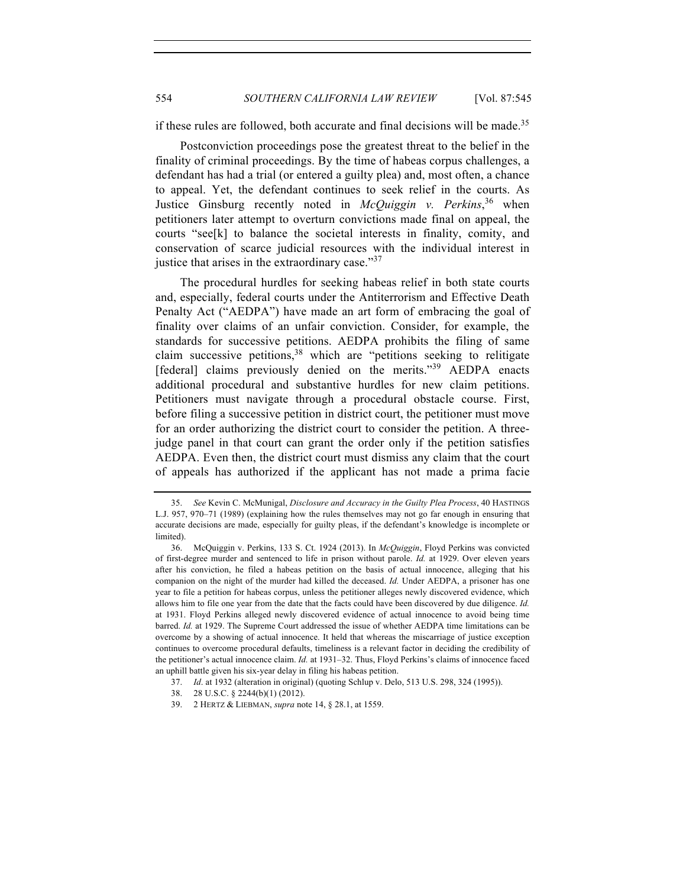if these rules are followed, both accurate and final decisions will be made.<sup>35</sup>

Postconviction proceedings pose the greatest threat to the belief in the finality of criminal proceedings. By the time of habeas corpus challenges, a defendant has had a trial (or entered a guilty plea) and, most often, a chance to appeal. Yet, the defendant continues to seek relief in the courts. As Justice Ginsburg recently noted in *McQuiggin v. Perkins*, <sup>36</sup> when petitioners later attempt to overturn convictions made final on appeal, the courts "see[k] to balance the societal interests in finality, comity, and conservation of scarce judicial resources with the individual interest in justice that arises in the extraordinary case."<sup>37</sup>

The procedural hurdles for seeking habeas relief in both state courts and, especially, federal courts under the Antiterrorism and Effective Death Penalty Act ("AEDPA") have made an art form of embracing the goal of finality over claims of an unfair conviction. Consider, for example, the standards for successive petitions. AEDPA prohibits the filing of same claim successive petitions,<sup>38</sup> which are "petitions seeking to relitigate [federal] claims previously denied on the merits."<sup>39</sup> AEDPA enacts additional procedural and substantive hurdles for new claim petitions. Petitioners must navigate through a procedural obstacle course. First, before filing a successive petition in district court, the petitioner must move for an order authorizing the district court to consider the petition. A threejudge panel in that court can grant the order only if the petition satisfies AEDPA. Even then, the district court must dismiss any claim that the court of appeals has authorized if the applicant has not made a prima facie

<sup>35.</sup> *See* Kevin C. McMunigal, *Disclosure and Accuracy in the Guilty Plea Process*, 40 HASTINGS L.J. 957, 970–71 (1989) (explaining how the rules themselves may not go far enough in ensuring that accurate decisions are made, especially for guilty pleas, if the defendant's knowledge is incomplete or limited).

<sup>36.</sup> McQuiggin v. Perkins, 133 S. Ct. 1924 (2013). In *McQuiggin*, Floyd Perkins was convicted of first-degree murder and sentenced to life in prison without parole. *Id.* at 1929. Over eleven years after his conviction, he filed a habeas petition on the basis of actual innocence, alleging that his companion on the night of the murder had killed the deceased. *Id.* Under AEDPA, a prisoner has one year to file a petition for habeas corpus, unless the petitioner alleges newly discovered evidence, which allows him to file one year from the date that the facts could have been discovered by due diligence. *Id.*  at 1931. Floyd Perkins alleged newly discovered evidence of actual innocence to avoid being time barred. *Id.* at 1929. The Supreme Court addressed the issue of whether AEDPA time limitations can be overcome by a showing of actual innocence. It held that whereas the miscarriage of justice exception continues to overcome procedural defaults, timeliness is a relevant factor in deciding the credibility of the petitioner's actual innocence claim. *Id.* at 1931–32. Thus, Floyd Perkins's claims of innocence faced an uphill battle given his six-year delay in filing his habeas petition.

<sup>37.</sup> *Id*. at 1932 (alteration in original) (quoting Schlup v. Delo, 513 U.S. 298, 324 (1995)).

<sup>38.</sup> 28 U.S.C. § 2244(b)(1) (2012).

<sup>39.</sup> 2 HERTZ & LIEBMAN, *supra* note 14, § 28.1, at 1559.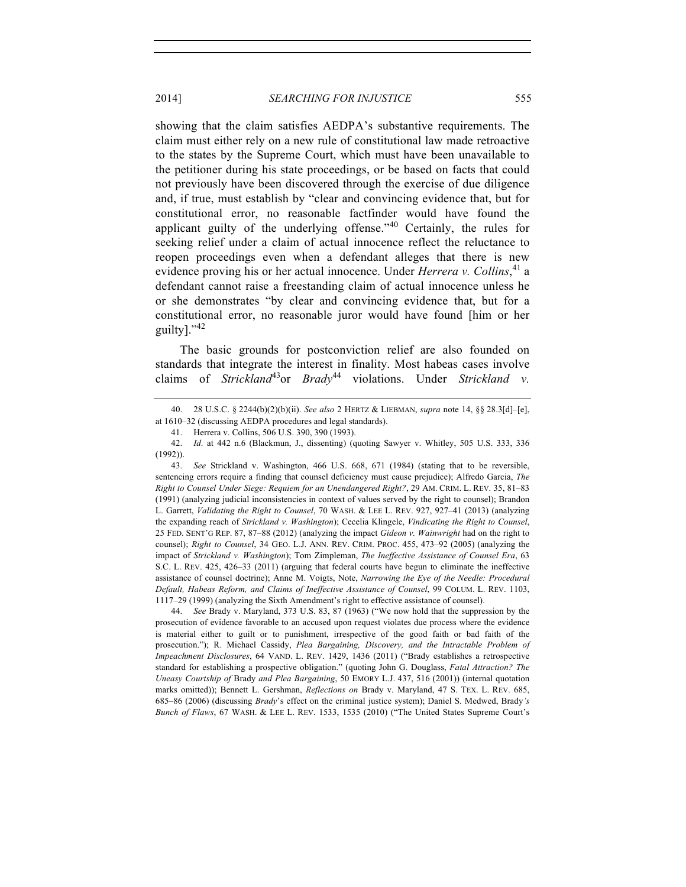showing that the claim satisfies AEDPA's substantive requirements. The claim must either rely on a new rule of constitutional law made retroactive to the states by the Supreme Court, which must have been unavailable to the petitioner during his state proceedings, or be based on facts that could not previously have been discovered through the exercise of due diligence and, if true, must establish by "clear and convincing evidence that, but for constitutional error, no reasonable factfinder would have found the applicant guilty of the underlying offense."<sup>40</sup> Certainly, the rules for seeking relief under a claim of actual innocence reflect the reluctance to reopen proceedings even when a defendant alleges that there is new evidence proving his or her actual innocence. Under *Herrera v. Collins*, <sup>41</sup> a defendant cannot raise a freestanding claim of actual innocence unless he or she demonstrates "by clear and convincing evidence that, but for a constitutional error, no reasonable juror would have found [him or her guilty]. $"42$ 

The basic grounds for postconviction relief are also founded on standards that integrate the interest in finality. Most habeas cases involve claims of *Strickland*43or *Brady*<sup>44</sup> violations. Under *Strickland v.* 

44. *See* Brady v. Maryland, 373 U.S. 83, 87 (1963) ("We now hold that the suppression by the prosecution of evidence favorable to an accused upon request violates due process where the evidence is material either to guilt or to punishment, irrespective of the good faith or bad faith of the prosecution."); R. Michael Cassidy, *Plea Bargaining, Discovery, and the Intractable Problem of Impeachment Disclosures*, 64 VAND. L. REV. 1429, 1436 (2011) ("Brady establishes a retrospective standard for establishing a prospective obligation." (quoting John G. Douglass, *Fatal Attraction? The Uneasy Courtship of* Brady *and Plea Bargaining*, 50 EMORY L.J. 437, 516 (2001)) (internal quotation marks omitted)); Bennett L. Gershman, *Reflections on* Brady v. Maryland, 47 S. TEX. L. REV. 685, 685–86 (2006) (discussing *Brady*'s effect on the criminal justice system); Daniel S. Medwed, Brady*'s Bunch of Flaws*, 67 WASH. & LEE L. REV. 1533, 1535 (2010) ("The United States Supreme Court's

<sup>40.</sup> 28 U.S.C. § 2244(b)(2)(b)(ii). *See also* 2 HERTZ & LIEBMAN, *supra* note 14, §§ 28.3[d]–[e], at 1610–32 (discussing AEDPA procedures and legal standards).

<sup>41.</sup> Herrera v. Collins, 506 U.S. 390, 390 (1993).

<sup>42.</sup> *Id*. at 442 n.6 (Blackmun, J., dissenting) (quoting Sawyer v. Whitley, 505 U.S. 333, 336 (1992)).

<sup>43.</sup> *See* Strickland v. Washington, 466 U.S. 668, 671 (1984) (stating that to be reversible, sentencing errors require a finding that counsel deficiency must cause prejudice); Alfredo Garcia, *The Right to Counsel Under Siege: Requiem for an Unendangered Right?*, 29 AM. CRIM. L. REV. 35, 81–83 (1991) (analyzing judicial inconsistencies in context of values served by the right to counsel); Brandon L. Garrett, *Validating the Right to Counsel*, 70 WASH. & LEE L. REV. 927, 927–41 (2013) (analyzing the expanding reach of *Strickland v. Washington*); Cecelia Klingele, *Vindicating the Right to Counsel*, 25 FED. SENT'G REP. 87, 87–88 (2012) (analyzing the impact *Gideon v. Wainwright* had on the right to counsel); *Right to Counsel*, 34 GEO. L.J. ANN. REV. CRIM. PROC. 455, 473–92 (2005) (analyzing the impact of *Strickland v. Washington*); Tom Zimpleman, *The Ineffective Assistance of Counsel Era*, 63 S.C. L. REV. 425, 426–33 (2011) (arguing that federal courts have begun to eliminate the ineffective assistance of counsel doctrine); Anne M. Voigts, Note, *Narrowing the Eye of the Needle: Procedural Default, Habeas Reform, and Claims of Ineffective Assistance of Counsel*, 99 COLUM. L. REV. 1103, 1117–29 (1999) (analyzing the Sixth Amendment's right to effective assistance of counsel).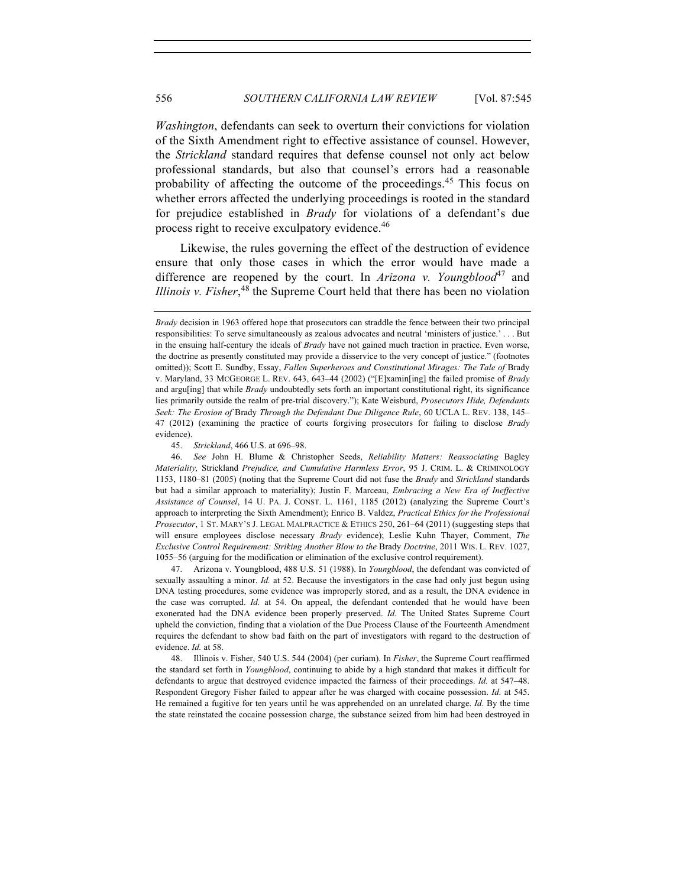*Washington*, defendants can seek to overturn their convictions for violation of the Sixth Amendment right to effective assistance of counsel. However, the *Strickland* standard requires that defense counsel not only act below professional standards, but also that counsel's errors had a reasonable probability of affecting the outcome of the proceedings.<sup>45</sup> This focus on whether errors affected the underlying proceedings is rooted in the standard for prejudice established in *Brady* for violations of a defendant's due process right to receive exculpatory evidence.<sup>46</sup>

Likewise, the rules governing the effect of the destruction of evidence ensure that only those cases in which the error would have made a difference are reopened by the court. In *Arizona v. Youngblood*<sup>47</sup> and *Illinois v. Fisher*,<sup>48</sup> the Supreme Court held that there has been no violation

45. *Strickland*, 466 U.S. at 696–98.

47. Arizona v. Youngblood, 488 U.S. 51 (1988). In *Youngblood*, the defendant was convicted of sexually assaulting a minor. *Id.* at 52. Because the investigators in the case had only just begun using DNA testing procedures, some evidence was improperly stored, and as a result, the DNA evidence in the case was corrupted. *Id.* at 54. On appeal, the defendant contended that he would have been exonerated had the DNA evidence been properly preserved. *Id.* The United States Supreme Court upheld the conviction, finding that a violation of the Due Process Clause of the Fourteenth Amendment requires the defendant to show bad faith on the part of investigators with regard to the destruction of evidence. *Id.* at 58.

48. Illinois v. Fisher, 540 U.S. 544 (2004) (per curiam). In *Fisher*, the Supreme Court reaffirmed the standard set forth in *Youngblood*, continuing to abide by a high standard that makes it difficult for defendants to argue that destroyed evidence impacted the fairness of their proceedings. *Id.* at 547–48. Respondent Gregory Fisher failed to appear after he was charged with cocaine possession. *Id.* at 545. He remained a fugitive for ten years until he was apprehended on an unrelated charge. *Id.* By the time the state reinstated the cocaine possession charge, the substance seized from him had been destroyed in

*Brady* decision in 1963 offered hope that prosecutors can straddle the fence between their two principal responsibilities: To serve simultaneously as zealous advocates and neutral 'ministers of justice.' . . . But in the ensuing half-century the ideals of *Brady* have not gained much traction in practice. Even worse, the doctrine as presently constituted may provide a disservice to the very concept of justice." (footnotes omitted)); Scott E. Sundby, Essay, *Fallen Superheroes and Constitutional Mirages: The Tale of* Brady v. Maryland, 33 MCGEORGE L. REV. 643, 643–44 (2002) ("[E]xamin[ing] the failed promise of *Brady* and argu<sup>[ing]</sup> that while *Brady* undoubtedly sets forth an important constitutional right, its significance lies primarily outside the realm of pre-trial discovery."); Kate Weisburd, *Prosecutors Hide, Defendants Seek: The Erosion of* Brady *Through the Defendant Due Diligence Rule*, 60 UCLA L. REV. 138, 145– 47 (2012) (examining the practice of courts forgiving prosecutors for failing to disclose *Brady* evidence).

<sup>46.</sup> *See* John H. Blume & Christopher Seeds, *Reliability Matters: Reassociating* Bagley *Materiality,* Strickland *Prejudice, and Cumulative Harmless Error*, 95 J. CRIM. L. & CRIMINOLOGY 1153, 1180–81 (2005) (noting that the Supreme Court did not fuse the *Brady* and *Strickland* standards but had a similar approach to materiality); Justin F. Marceau, *Embracing a New Era of Ineffective Assistance of Counsel*, 14 U. PA. J. CONST. L. 1161, 1185 (2012) (analyzing the Supreme Court's approach to interpreting the Sixth Amendment); Enrico B. Valdez, *Practical Ethics for the Professional Prosecutor*, 1 ST. MARY'S J. LEGAL MALPRACTICE & ETHICS 250, 261–64 (2011) (suggesting steps that will ensure employees disclose necessary *Brady* evidence); Leslie Kuhn Thayer, Comment, *The Exclusive Control Requirement: Striking Another Blow to the* Brady *Doctrine*, 2011 WIS. L. REV. 1027, 1055–56 (arguing for the modification or elimination of the exclusive control requirement).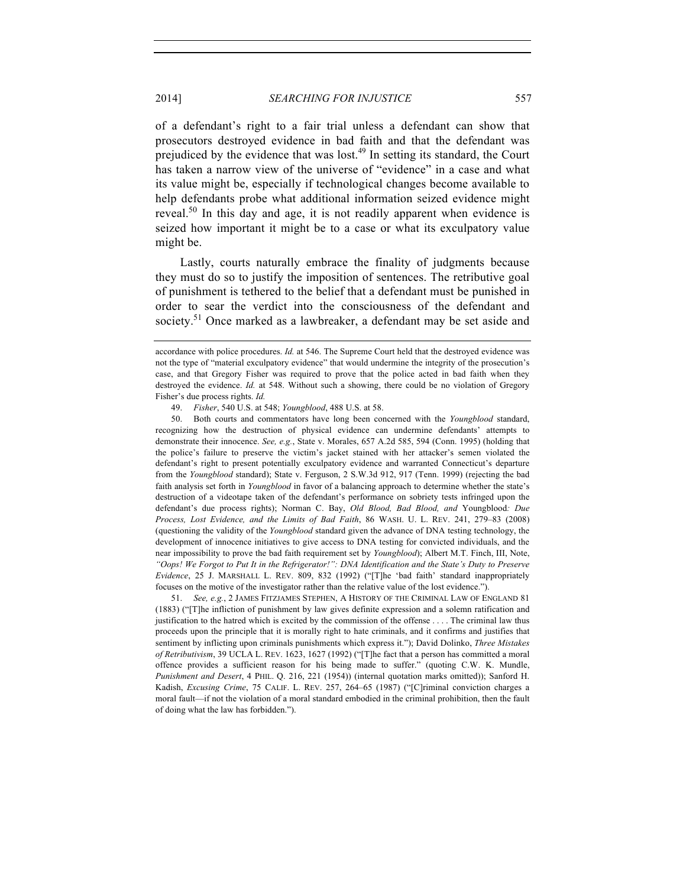of a defendant's right to a fair trial unless a defendant can show that prosecutors destroyed evidence in bad faith and that the defendant was prejudiced by the evidence that was lost.<sup> $49$ </sup> In setting its standard, the Court has taken a narrow view of the universe of "evidence" in a case and what its value might be, especially if technological changes become available to help defendants probe what additional information seized evidence might reveal.<sup>50</sup> In this day and age, it is not readily apparent when evidence is seized how important it might be to a case or what its exculpatory value might be.

Lastly, courts naturally embrace the finality of judgments because they must do so to justify the imposition of sentences. The retributive goal of punishment is tethered to the belief that a defendant must be punished in order to sear the verdict into the consciousness of the defendant and society.<sup>51</sup> Once marked as a lawbreaker, a defendant may be set aside and

50. Both courts and commentators have long been concerned with the *Youngblood* standard, recognizing how the destruction of physical evidence can undermine defendants' attempts to demonstrate their innocence. *See, e.g.*, State v. Morales, 657 A.2d 585, 594 (Conn. 1995) (holding that the police's failure to preserve the victim's jacket stained with her attacker's semen violated the defendant's right to present potentially exculpatory evidence and warranted Connecticut's departure from the *Youngblood* standard); State v. Ferguson, 2 S.W.3d 912, 917 (Tenn. 1999) (rejecting the bad faith analysis set forth in *Youngblood* in favor of a balancing approach to determine whether the state's destruction of a videotape taken of the defendant's performance on sobriety tests infringed upon the defendant's due process rights); Norman C. Bay, *Old Blood, Bad Blood, and* Youngblood*: Due Process, Lost Evidence, and the Limits of Bad Faith*, 86 WASH. U. L. REV. 241, 279–83 (2008) (questioning the validity of the *Youngblood* standard given the advance of DNA testing technology, the development of innocence initiatives to give access to DNA testing for convicted individuals, and the near impossibility to prove the bad faith requirement set by *Youngblood*); Albert M.T. Finch, III, Note, *"Oops! We Forgot to Put It in the Refrigerator!": DNA Identification and the State's Duty to Preserve Evidence*, 25 J. MARSHALL L. REV. 809, 832 (1992) ("[T]he 'bad faith' standard inappropriately focuses on the motive of the investigator rather than the relative value of the lost evidence.").

51. *See, e.g.*, 2 JAMES FITZJAMES STEPHEN, A HISTORY OF THE CRIMINAL LAW OF ENGLAND 81 (1883) ("[T]he infliction of punishment by law gives definite expression and a solemn ratification and justification to the hatred which is excited by the commission of the offense . . . . The criminal law thus proceeds upon the principle that it is morally right to hate criminals, and it confirms and justifies that sentiment by inflicting upon criminals punishments which express it."); David Dolinko, *Three Mistakes of Retributivism*, 39 UCLA L. REV. 1623, 1627 (1992) ("[T]he fact that a person has committed a moral offence provides a sufficient reason for his being made to suffer." (quoting C.W. K. Mundle, *Punishment and Desert*, 4 PHIL. Q. 216, 221 (1954)) (internal quotation marks omitted)); Sanford H. Kadish, *Excusing Crime*, 75 CALIF. L. REV. 257, 264–65 (1987) ("[C]riminal conviction charges a moral fault—if not the violation of a moral standard embodied in the criminal prohibition, then the fault of doing what the law has forbidden.").

accordance with police procedures. *Id.* at 546. The Supreme Court held that the destroyed evidence was not the type of "material exculpatory evidence" that would undermine the integrity of the prosecution's case, and that Gregory Fisher was required to prove that the police acted in bad faith when they destroyed the evidence. *Id.* at 548. Without such a showing, there could be no violation of Gregory Fisher's due process rights. *Id.*

<sup>49.</sup> *Fisher*, 540 U.S. at 548; *Youngblood*, 488 U.S. at 58.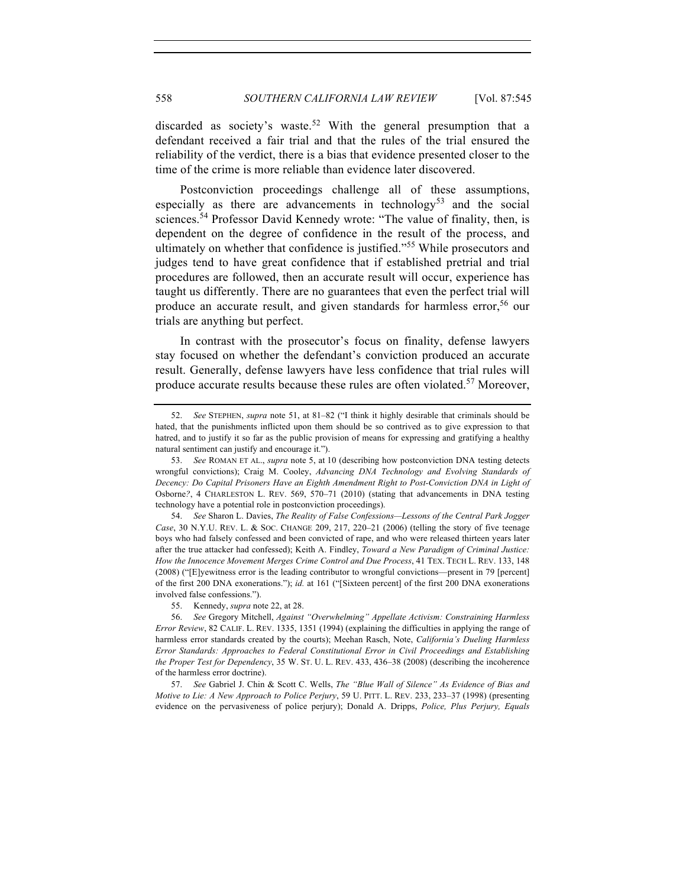discarded as society's waste.<sup>52</sup> With the general presumption that a defendant received a fair trial and that the rules of the trial ensured the reliability of the verdict, there is a bias that evidence presented closer to the time of the crime is more reliable than evidence later discovered.

Postconviction proceedings challenge all of these assumptions, especially as there are advancements in technology<sup>53</sup> and the social sciences.<sup>54</sup> Professor David Kennedy wrote: "The value of finality, then, is dependent on the degree of confidence in the result of the process, and ultimately on whether that confidence is justified."<sup>55</sup> While prosecutors and judges tend to have great confidence that if established pretrial and trial procedures are followed, then an accurate result will occur, experience has taught us differently. There are no guarantees that even the perfect trial will produce an accurate result, and given standards for harmless error,<sup>56</sup> our trials are anything but perfect.

In contrast with the prosecutor's focus on finality, defense lawyers stay focused on whether the defendant's conviction produced an accurate result. Generally, defense lawyers have less confidence that trial rules will produce accurate results because these rules are often violated.<sup>57</sup> Moreover,

<sup>52.</sup> *See* STEPHEN, *supra* note 51, at 81–82 ("I think it highly desirable that criminals should be hated, that the punishments inflicted upon them should be so contrived as to give expression to that hatred, and to justify it so far as the public provision of means for expressing and gratifying a healthy natural sentiment can justify and encourage it.").

<sup>53.</sup> *See* ROMAN ET AL., *supra* note 5, at 10 (describing how postconviction DNA testing detects wrongful convictions); Craig M. Cooley, *Advancing DNA Technology and Evolving Standards of Decency: Do Capital Prisoners Have an Eighth Amendment Right to Post-Conviction DNA in Light of*  Osborne*?*, 4 CHARLESTON L. REV. 569, 570–71 (2010) (stating that advancements in DNA testing technology have a potential role in postconviction proceedings).

<sup>54.</sup> *See* Sharon L. Davies, *The Reality of False Confessions—Lessons of the Central Park Jogger Case*, 30 N.Y.U. REV. L. & SOC. CHANGE 209, 217, 220–21 (2006) (telling the story of five teenage boys who had falsely confessed and been convicted of rape, and who were released thirteen years later after the true attacker had confessed); Keith A. Findley, *Toward a New Paradigm of Criminal Justice: How the Innocence Movement Merges Crime Control and Due Process*, 41 TEX. TECH L. REV. 133, 148 (2008) ("[E]yewitness error is the leading contributor to wrongful convictions—present in 79 [percent] of the first 200 DNA exonerations."); *id.* at 161 ("[Sixteen percent] of the first 200 DNA exonerations involved false confessions.").

<sup>55.</sup> Kennedy, *supra* note 22, at 28.

<sup>56.</sup> *See* Gregory Mitchell, *Against "Overwhelming" Appellate Activism: Constraining Harmless Error Review*, 82 CALIF. L. REV. 1335, 1351 (1994) (explaining the difficulties in applying the range of harmless error standards created by the courts); Meehan Rasch, Note, *California's Dueling Harmless Error Standards: Approaches to Federal Constitutional Error in Civil Proceedings and Establishing the Proper Test for Dependency*, 35 W. ST. U. L. REV. 433, 436–38 (2008) (describing the incoherence of the harmless error doctrine).

<sup>57.</sup> *See* Gabriel J. Chin & Scott C. Wells, *The "Blue Wall of Silence" As Evidence of Bias and Motive to Lie: A New Approach to Police Perjury*, 59 U. PITT. L. REV. 233, 233–37 (1998) (presenting evidence on the pervasiveness of police perjury); Donald A. Dripps, *Police, Plus Perjury, Equals*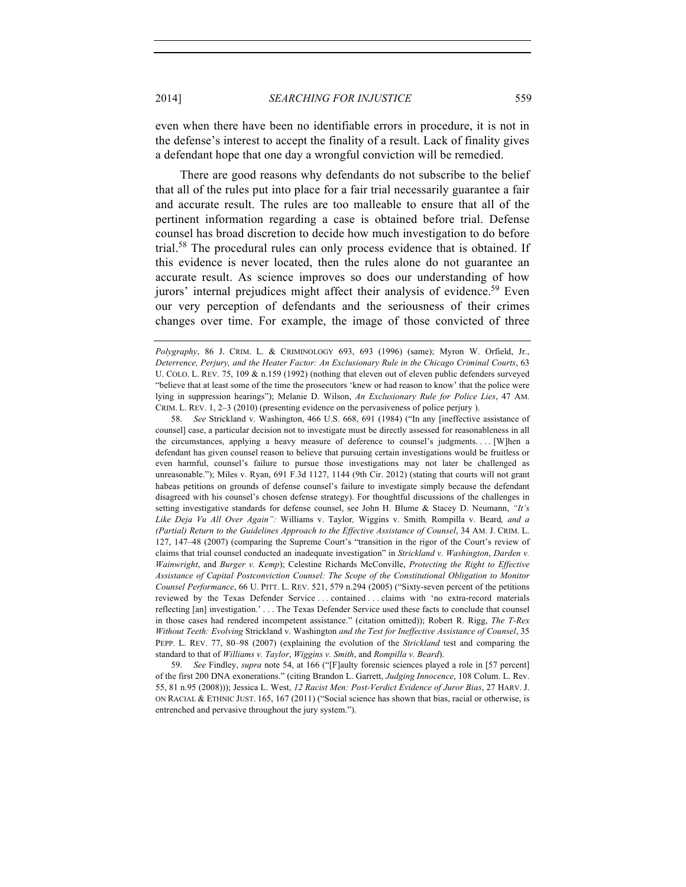even when there have been no identifiable errors in procedure, it is not in the defense's interest to accept the finality of a result. Lack of finality gives a defendant hope that one day a wrongful conviction will be remedied.

There are good reasons why defendants do not subscribe to the belief that all of the rules put into place for a fair trial necessarily guarantee a fair and accurate result. The rules are too malleable to ensure that all of the pertinent information regarding a case is obtained before trial. Defense counsel has broad discretion to decide how much investigation to do before trial.<sup>58</sup> The procedural rules can only process evidence that is obtained. If this evidence is never located, then the rules alone do not guarantee an accurate result. As science improves so does our understanding of how jurors' internal prejudices might affect their analysis of evidence.<sup>59</sup> Even our very perception of defendants and the seriousness of their crimes changes over time. For example, the image of those convicted of three

58. *See* Strickland v. Washington, 466 U.S. 668, 691 (1984) ("In any [ineffective assistance of counsel] case, a particular decision not to investigate must be directly assessed for reasonableness in all the circumstances, applying a heavy measure of deference to counsel's judgments. . . . [W]hen a defendant has given counsel reason to believe that pursuing certain investigations would be fruitless or even harmful, counsel's failure to pursue those investigations may not later be challenged as unreasonable."); Miles v. Ryan, 691 F.3d 1127, 1144 (9th Cir. 2012) (stating that courts will not grant habeas petitions on grounds of defense counsel's failure to investigate simply because the defendant disagreed with his counsel's chosen defense strategy). For thoughtful discussions of the challenges in setting investigative standards for defense counsel, see John H. Blume & Stacey D. Neumann, *"It's Like Deja Vu All Over Again":* Williams v. Taylor*,* Wiggins v. Smith*,* Rompilla v. Beard*, and a (Partial) Return to the Guidelines Approach to the Effective Assistance of Counsel*, 34 AM. J. CRIM. L. 127, 147–48 (2007) (comparing the Supreme Court's "transition in the rigor of the Court's review of claims that trial counsel conducted an inadequate investigation" in *Strickland v. Washington*, *Darden v. Wainwright*, and *Burger v. Kemp*); Celestine Richards McConville, *Protecting the Right to Effective Assistance of Capital Postconviction Counsel: The Scope of the Constitutional Obligation to Monitor Counsel Performance*, 66 U. PITT. L. REV. 521, 579 n.294 (2005) ("Sixty-seven percent of the petitions reviewed by the Texas Defender Service . . . contained . . . claims with 'no extra-record materials reflecting [an] investigation.' . . . The Texas Defender Service used these facts to conclude that counsel in those cases had rendered incompetent assistance." (citation omitted)); Robert R. Rigg, *The T-Rex Without Teeth: Evolving* Strickland v. Washington *and the Test for Ineffective Assistance of Counsel*, 35 PEPP. L. REV. 77, 80–98 (2007) (explaining the evolution of the *Strickland* test and comparing the standard to that of *Williams v. Taylor*, *Wiggins v. Smith*, and *Rompilla v. Beard*).

59. *See* Findley, *supra* note 54, at 166 ("[F]aulty forensic sciences played a role in [57 percent] of the first 200 DNA exonerations." (citing Brandon L. Garrett, *Judging Innocence*, 108 Colum. L. Rev. 55, 81 n.95 (2008))); Jessica L. West, *12 Racist Men: Post-Verdict Evidence of Juror Bias*, 27 HARV. J. ON RACIAL & ETHNIC JUST. 165, 167 (2011) ("Social science has shown that bias, racial or otherwise, is entrenched and pervasive throughout the jury system.").

*Polygraphy*, 86 J. CRIM. L. & CRIMINOLOGY 693, 693 (1996) (same); Myron W. Orfield, Jr., *Deterrence, Perjury, and the Heater Factor: An Exclusionary Rule in the Chicago Criminal Courts*, 63 U. COLO. L. REV. 75, 109 & n.159 (1992) (nothing that eleven out of eleven public defenders surveyed "believe that at least some of the time the prosecutors 'knew or had reason to know' that the police were lying in suppression hearings"); Melanie D. Wilson, *An Exclusionary Rule for Police Lies*, 47 AM. CRIM. L. REV. 1, 2–3 (2010) (presenting evidence on the pervasiveness of police perjury ).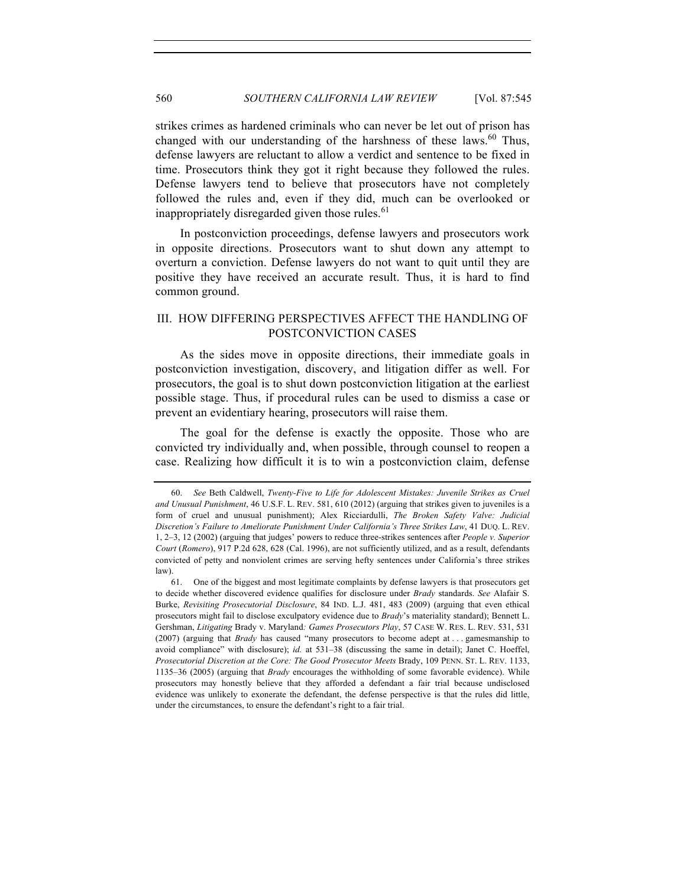strikes crimes as hardened criminals who can never be let out of prison has changed with our understanding of the harshness of these laws.<sup>60</sup> Thus, defense lawyers are reluctant to allow a verdict and sentence to be fixed in time. Prosecutors think they got it right because they followed the rules. Defense lawyers tend to believe that prosecutors have not completely followed the rules and, even if they did, much can be overlooked or inappropriately disregarded given those rules.<sup>61</sup>

In postconviction proceedings, defense lawyers and prosecutors work in opposite directions. Prosecutors want to shut down any attempt to overturn a conviction. Defense lawyers do not want to quit until they are positive they have received an accurate result. Thus, it is hard to find common ground.

# III. HOW DIFFERING PERSPECTIVES AFFECT THE HANDLING OF POSTCONVICTION CASES

As the sides move in opposite directions, their immediate goals in postconviction investigation, discovery, and litigation differ as well. For prosecutors, the goal is to shut down postconviction litigation at the earliest possible stage. Thus, if procedural rules can be used to dismiss a case or prevent an evidentiary hearing, prosecutors will raise them.

The goal for the defense is exactly the opposite. Those who are convicted try individually and, when possible, through counsel to reopen a case. Realizing how difficult it is to win a postconviction claim, defense

<sup>60.</sup> *See* Beth Caldwell, *Twenty-Five to Life for Adolescent Mistakes: Juvenile Strikes as Cruel and Unusual Punishment*, 46 U.S.F. L. REV. 581, 610 (2012) (arguing that strikes given to juveniles is a form of cruel and unusual punishment); Alex Ricciardulli, *The Broken Safety Valve: Judicial Discretion's Failure to Ameliorate Punishment Under California's Three Strikes Law*, 41 DUQ. L. REV. 1, 2–3, 12 (2002) (arguing that judges' powers to reduce three-strikes sentences after *People v. Superior Court* (*Romero*), 917 P.2d 628, 628 (Cal. 1996), are not sufficiently utilized, and as a result, defendants convicted of petty and nonviolent crimes are serving hefty sentences under California's three strikes law).

<sup>61.</sup> One of the biggest and most legitimate complaints by defense lawyers is that prosecutors get to decide whether discovered evidence qualifies for disclosure under *Brady* standards. *See* Alafair S. Burke, *Revisiting Prosecutorial Disclosure*, 84 IND. L.J. 481, 483 (2009) (arguing that even ethical prosecutors might fail to disclose exculpatory evidence due to *Brady*'s materiality standard); Bennett L. Gershman, *Litigating* Brady v. Maryland*: Games Prosecutors Play*, 57 CASE W. RES. L. REV. 531, 531 (2007) (arguing that *Brady* has caused "many prosecutors to become adept at . . . gamesmanship to avoid compliance" with disclosure); *id.* at 531–38 (discussing the same in detail); Janet C. Hoeffel, *Prosecutorial Discretion at the Core: The Good Prosecutor Meets* Brady, 109 PENN. ST. L. REV. 1133, 1135–36 (2005) (arguing that *Brady* encourages the withholding of some favorable evidence). While prosecutors may honestly believe that they afforded a defendant a fair trial because undisclosed evidence was unlikely to exonerate the defendant, the defense perspective is that the rules did little, under the circumstances, to ensure the defendant's right to a fair trial.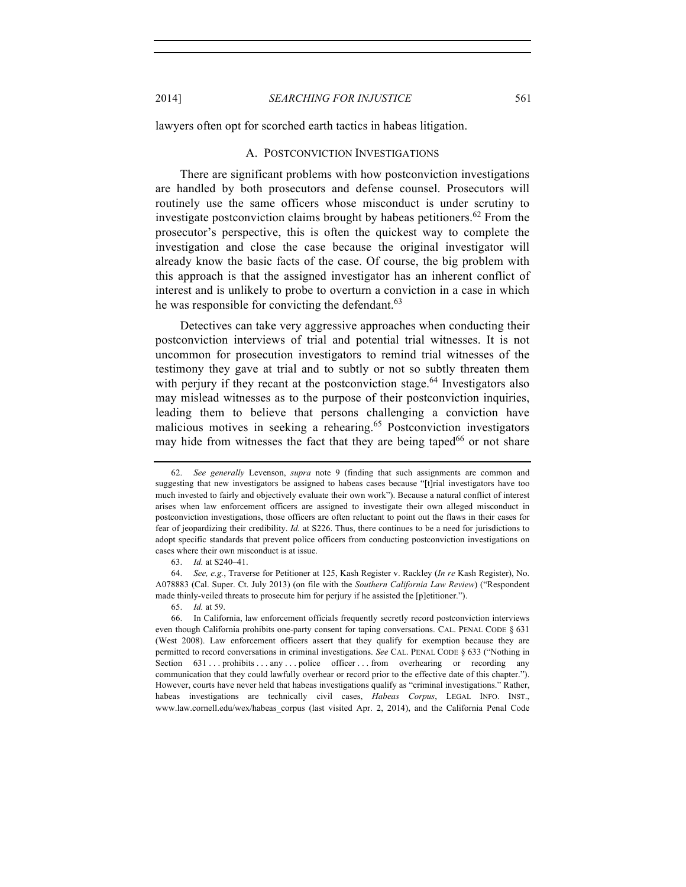2014] *SEARCHING FOR INJUSTICE* 561

lawyers often opt for scorched earth tactics in habeas litigation.

#### A. POSTCONVICTION INVESTIGATIONS

There are significant problems with how postconviction investigations are handled by both prosecutors and defense counsel. Prosecutors will routinely use the same officers whose misconduct is under scrutiny to investigate postconviction claims brought by habeas petitioners.<sup>62</sup> From the prosecutor's perspective, this is often the quickest way to complete the investigation and close the case because the original investigator will already know the basic facts of the case. Of course, the big problem with this approach is that the assigned investigator has an inherent conflict of interest and is unlikely to probe to overturn a conviction in a case in which he was responsible for convicting the defendant.<sup>63</sup>

Detectives can take very aggressive approaches when conducting their postconviction interviews of trial and potential trial witnesses. It is not uncommon for prosecution investigators to remind trial witnesses of the testimony they gave at trial and to subtly or not so subtly threaten them with perjury if they recant at the postconviction stage.<sup> $64$ </sup> Investigators also may mislead witnesses as to the purpose of their postconviction inquiries, leading them to believe that persons challenging a conviction have malicious motives in seeking a rehearing.<sup>65</sup> Postconviction investigators may hide from witnesses the fact that they are being taped<sup>66</sup> or not share

<sup>62.</sup> *See generally* Levenson, *supra* note 9 (finding that such assignments are common and suggesting that new investigators be assigned to habeas cases because "[t]rial investigators have too much invested to fairly and objectively evaluate their own work"). Because a natural conflict of interest arises when law enforcement officers are assigned to investigate their own alleged misconduct in postconviction investigations, those officers are often reluctant to point out the flaws in their cases for fear of jeopardizing their credibility. *Id.* at S226. Thus, there continues to be a need for jurisdictions to adopt specific standards that prevent police officers from conducting postconviction investigations on cases where their own misconduct is at issue.

<sup>63.</sup> *Id.* at S240–41.

<sup>64.</sup> *See, e.g.*, Traverse for Petitioner at 125, Kash Register v. Rackley (*In re* Kash Register), No. A078883 (Cal. Super. Ct. July 2013) (on file with the *Southern California Law Review*) ("Respondent made thinly-veiled threats to prosecute him for perjury if he assisted the [p]etitioner.").

<sup>65.</sup> *Id.* at 59.

<sup>66.</sup> In California, law enforcement officials frequently secretly record postconviction interviews even though California prohibits one-party consent for taping conversations. CAL. PENAL CODE § 631 (West 2008). Law enforcement officers assert that they qualify for exemption because they are permitted to record conversations in criminal investigations. *See* CAL. PENAL CODE § 633 ("Nothing in Section 631 . . . prohibits . . . any . . . police officer . . . from overhearing or recording any communication that they could lawfully overhear or record prior to the effective date of this chapter."). However, courts have never held that habeas investigations qualify as "criminal investigations." Rather, habeas investigations are technically civil cases, *Habeas Corpus*, LEGAL INFO. INST., www.law.cornell.edu/wex/habeas\_corpus (last visited Apr. 2, 2014), and the California Penal Code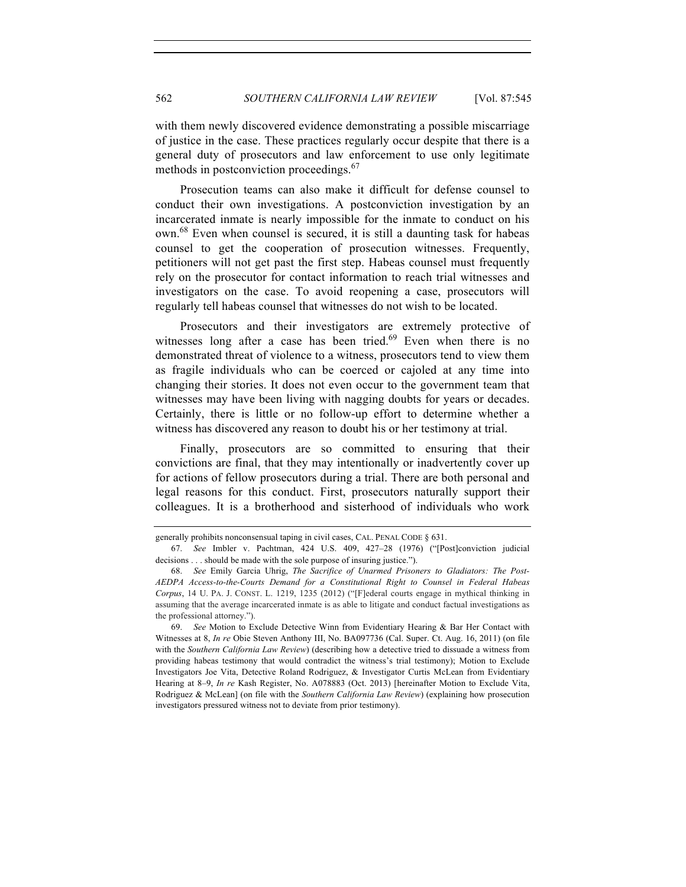with them newly discovered evidence demonstrating a possible miscarriage of justice in the case. These practices regularly occur despite that there is a general duty of prosecutors and law enforcement to use only legitimate methods in postconviction proceedings.<sup>67</sup>

Prosecution teams can also make it difficult for defense counsel to conduct their own investigations. A postconviction investigation by an incarcerated inmate is nearly impossible for the inmate to conduct on his own.68 Even when counsel is secured, it is still a daunting task for habeas counsel to get the cooperation of prosecution witnesses. Frequently, petitioners will not get past the first step. Habeas counsel must frequently rely on the prosecutor for contact information to reach trial witnesses and investigators on the case. To avoid reopening a case, prosecutors will regularly tell habeas counsel that witnesses do not wish to be located.

Prosecutors and their investigators are extremely protective of witnesses long after a case has been tried.<sup>69</sup> Even when there is no demonstrated threat of violence to a witness, prosecutors tend to view them as fragile individuals who can be coerced or cajoled at any time into changing their stories. It does not even occur to the government team that witnesses may have been living with nagging doubts for years or decades. Certainly, there is little or no follow-up effort to determine whether a witness has discovered any reason to doubt his or her testimony at trial.

Finally, prosecutors are so committed to ensuring that their convictions are final, that they may intentionally or inadvertently cover up for actions of fellow prosecutors during a trial. There are both personal and legal reasons for this conduct. First, prosecutors naturally support their colleagues. It is a brotherhood and sisterhood of individuals who work

generally prohibits nonconsensual taping in civil cases, CAL. PENAL CODE § 631.

<sup>67.</sup> *See* Imbler v. Pachtman, 424 U.S. 409, 427–28 (1976) ("[Post]conviction judicial decisions . . . should be made with the sole purpose of insuring justice.").

<sup>68.</sup> *See* Emily Garcia Uhrig, *The Sacrifice of Unarmed Prisoners to Gladiators: The Post-AEDPA Access-to-the-Courts Demand for a Constitutional Right to Counsel in Federal Habeas Corpus*, 14 U. PA. J. CONST. L. 1219, 1235 (2012) ("[F]ederal courts engage in mythical thinking in assuming that the average incarcerated inmate is as able to litigate and conduct factual investigations as the professional attorney.").

<sup>69.</sup> *See* Motion to Exclude Detective Winn from Evidentiary Hearing & Bar Her Contact with Witnesses at 8, *In re* Obie Steven Anthony III, No. BA097736 (Cal. Super. Ct. Aug. 16, 2011) (on file with the *Southern California Law Review*) (describing how a detective tried to dissuade a witness from providing habeas testimony that would contradict the witness's trial testimony); Motion to Exclude Investigators Joe Vita, Detective Roland Rodriguez, & Investigator Curtis McLean from Evidentiary Hearing at 8–9, *In re* Kash Register, No. A078883 (Oct. 2013) [hereinafter Motion to Exclude Vita, Rodriguez & McLean] (on file with the *Southern California Law Review*) (explaining how prosecution investigators pressured witness not to deviate from prior testimony).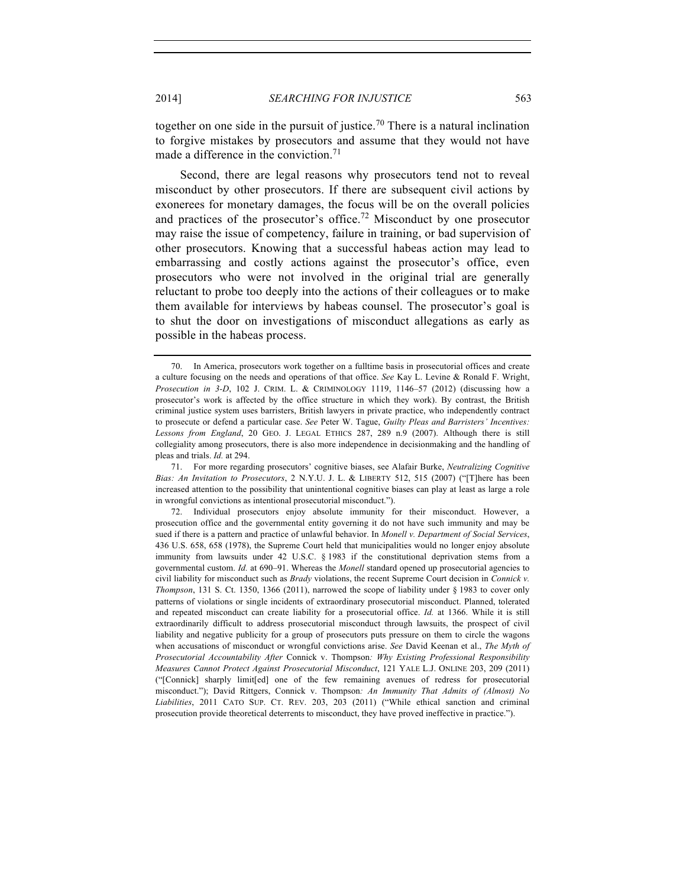together on one side in the pursuit of justice.<sup>70</sup> There is a natural inclination to forgive mistakes by prosecutors and assume that they would not have made a difference in the conviction.<sup>71</sup>

Second, there are legal reasons why prosecutors tend not to reveal misconduct by other prosecutors. If there are subsequent civil actions by exonerees for monetary damages, the focus will be on the overall policies and practices of the prosecutor's office.<sup>72</sup> Misconduct by one prosecutor may raise the issue of competency, failure in training, or bad supervision of other prosecutors. Knowing that a successful habeas action may lead to embarrassing and costly actions against the prosecutor's office, even prosecutors who were not involved in the original trial are generally reluctant to probe too deeply into the actions of their colleagues or to make them available for interviews by habeas counsel. The prosecutor's goal is to shut the door on investigations of misconduct allegations as early as possible in the habeas process.

<sup>70.</sup> In America, prosecutors work together on a fulltime basis in prosecutorial offices and create a culture focusing on the needs and operations of that office. *See* Kay L. Levine & Ronald F. Wright, *Prosecution in 3-D*, 102 J. CRIM. L. & CRIMINOLOGY 1119, 1146–57 (2012) (discussing how a prosecutor's work is affected by the office structure in which they work). By contrast, the British criminal justice system uses barristers, British lawyers in private practice, who independently contract to prosecute or defend a particular case. *See* Peter W. Tague, *Guilty Pleas and Barristers' Incentives: Lessons from England*, 20 GEO. J. LEGAL ETHICS 287, 289 n.9 (2007). Although there is still collegiality among prosecutors, there is also more independence in decisionmaking and the handling of pleas and trials. *Id.* at 294.

<sup>71.</sup> For more regarding prosecutors' cognitive biases, see Alafair Burke, *Neutralizing Cognitive Bias: An Invitation to Prosecutors*, 2 N.Y.U. J. L. & LIBERTY 512, 515 (2007) ("[T]here has been increased attention to the possibility that unintentional cognitive biases can play at least as large a role in wrongful convictions as intentional prosecutorial misconduct.").

<sup>72.</sup> Individual prosecutors enjoy absolute immunity for their misconduct. However, a prosecution office and the governmental entity governing it do not have such immunity and may be sued if there is a pattern and practice of unlawful behavior. In *Monell v. Department of Social Services*, 436 U.S. 658, 658 (1978), the Supreme Court held that municipalities would no longer enjoy absolute immunity from lawsuits under 42 U.S.C. § 1983 if the constitutional deprivation stems from a governmental custom. *Id.* at 690–91. Whereas the *Monell* standard opened up prosecutorial agencies to civil liability for misconduct such as *Brady* violations, the recent Supreme Court decision in *Connick v. Thompson*, 131 S. Ct. 1350, 1366 (2011), narrowed the scope of liability under § 1983 to cover only patterns of violations or single incidents of extraordinary prosecutorial misconduct. Planned, tolerated and repeated misconduct can create liability for a prosecutorial office. *Id.* at 1366. While it is still extraordinarily difficult to address prosecutorial misconduct through lawsuits, the prospect of civil liability and negative publicity for a group of prosecutors puts pressure on them to circle the wagons when accusations of misconduct or wrongful convictions arise. *See* David Keenan et al., *The Myth of Prosecutorial Accountability After* Connick v. Thompson*: Why Existing Professional Responsibility Measures Cannot Protect Against Prosecutorial Misconduct*, 121 YALE L.J. ONLINE 203, 209 (2011) ("[Connick] sharply limit[ed] one of the few remaining avenues of redress for prosecutorial misconduct."); David Rittgers, Connick v. Thompson*: An Immunity That Admits of (Almost) No Liabilities*, 2011 CATO SUP. CT. REV. 203, 203 (2011) ("While ethical sanction and criminal prosecution provide theoretical deterrents to misconduct, they have proved ineffective in practice.").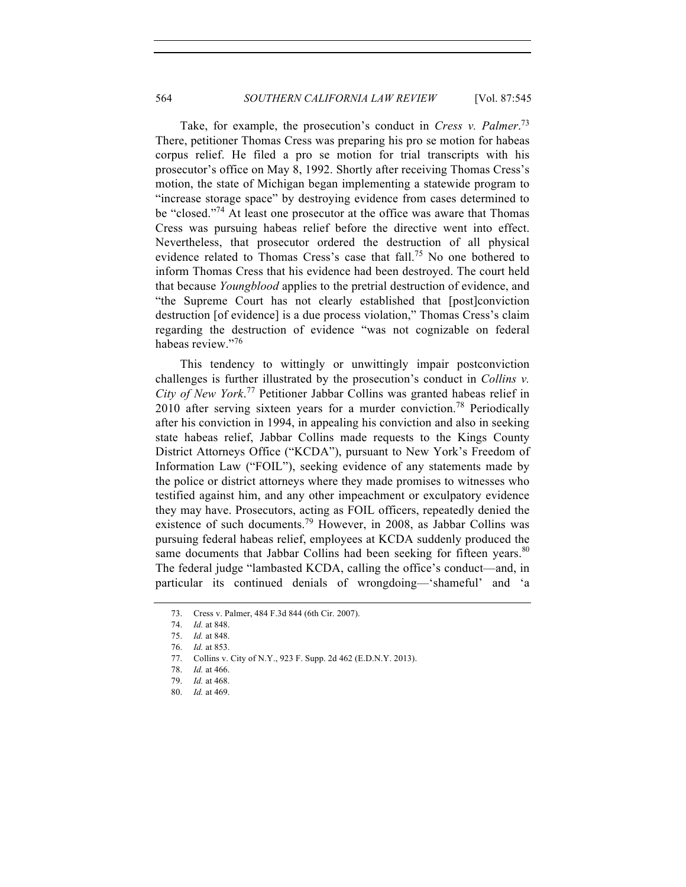Take, for example, the prosecution's conduct in *Cress v. Palmer*. 73 There, petitioner Thomas Cress was preparing his pro se motion for habeas corpus relief. He filed a pro se motion for trial transcripts with his prosecutor's office on May 8, 1992. Shortly after receiving Thomas Cress's motion, the state of Michigan began implementing a statewide program to "increase storage space" by destroying evidence from cases determined to be "closed."<sup>74</sup> At least one prosecutor at the office was aware that Thomas Cress was pursuing habeas relief before the directive went into effect. Nevertheless, that prosecutor ordered the destruction of all physical evidence related to Thomas Cress's case that  $fall<sup>75</sup>$  No one bothered to inform Thomas Cress that his evidence had been destroyed. The court held that because *Youngblood* applies to the pretrial destruction of evidence, and "the Supreme Court has not clearly established that [post]conviction destruction [of evidence] is a due process violation," Thomas Cress's claim regarding the destruction of evidence "was not cognizable on federal habeas review."76

This tendency to wittingly or unwittingly impair postconviction challenges is further illustrated by the prosecution's conduct in *Collins v. City of New York*. <sup>77</sup> Petitioner Jabbar Collins was granted habeas relief in 2010 after serving sixteen years for a murder conviction.<sup>78</sup> Periodically after his conviction in 1994, in appealing his conviction and also in seeking state habeas relief, Jabbar Collins made requests to the Kings County District Attorneys Office ("KCDA"), pursuant to New York's Freedom of Information Law ("FOIL"), seeking evidence of any statements made by the police or district attorneys where they made promises to witnesses who testified against him, and any other impeachment or exculpatory evidence they may have. Prosecutors, acting as FOIL officers, repeatedly denied the existence of such documents.<sup>79</sup> However, in 2008, as Jabbar Collins was pursuing federal habeas relief, employees at KCDA suddenly produced the same documents that Jabbar Collins had been seeking for fifteen years.<sup>80</sup> The federal judge "lambasted KCDA, calling the office's conduct—and, in particular its continued denials of wrongdoing—'shameful' and 'a

<sup>73.</sup> Cress v. Palmer, 484 F.3d 844 (6th Cir. 2007).

<sup>74.</sup> *Id.* at 848.

<sup>75.</sup> *Id.* at 848.

<sup>76.</sup> *Id.* at 853.

<sup>77.</sup> Collins v. City of N.Y., 923 F. Supp. 2d 462 (E.D.N.Y. 2013).

<sup>78.</sup> *Id.* at 466.

<sup>79.</sup> *Id.* at 468.

<sup>80.</sup> *Id.* at 469.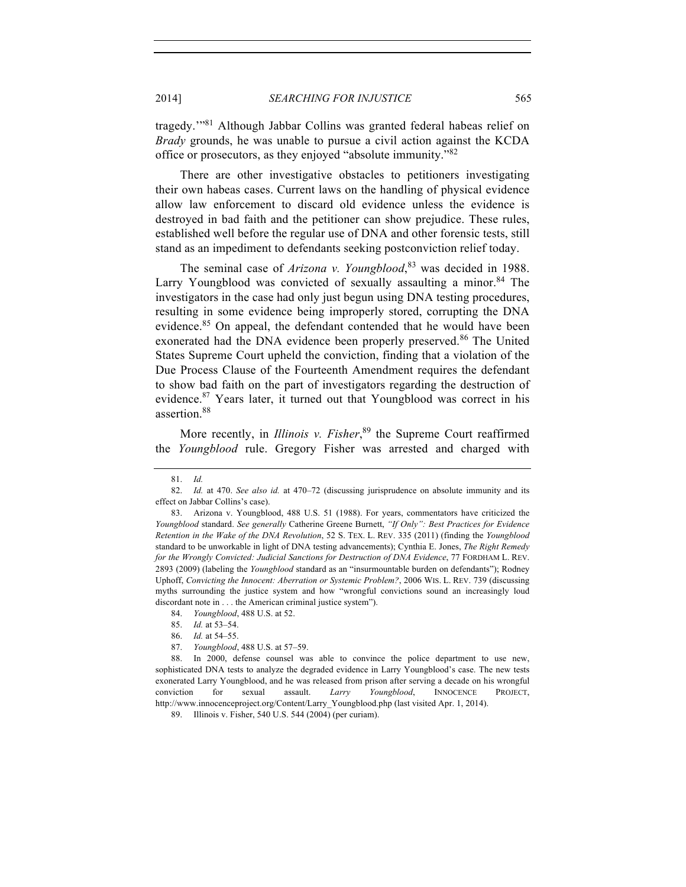tragedy.'"81 Although Jabbar Collins was granted federal habeas relief on *Brady* grounds, he was unable to pursue a civil action against the KCDA office or prosecutors, as they enjoyed "absolute immunity."<sup>82</sup>

There are other investigative obstacles to petitioners investigating their own habeas cases. Current laws on the handling of physical evidence allow law enforcement to discard old evidence unless the evidence is destroyed in bad faith and the petitioner can show prejudice. These rules, established well before the regular use of DNA and other forensic tests, still stand as an impediment to defendants seeking postconviction relief today.

The seminal case of *Arizona v. Youngblood*, <sup>83</sup> was decided in 1988. Larry Youngblood was convicted of sexually assaulting a minor.  $84$  The investigators in the case had only just begun using DNA testing procedures, resulting in some evidence being improperly stored, corrupting the DNA evidence.<sup>85</sup> On appeal, the defendant contended that he would have been exonerated had the DNA evidence been properly preserved.<sup>86</sup> The United States Supreme Court upheld the conviction, finding that a violation of the Due Process Clause of the Fourteenth Amendment requires the defendant to show bad faith on the part of investigators regarding the destruction of evidence.<sup>87</sup> Years later, it turned out that Youngblood was correct in his assertion.<sup>88</sup>

More recently, in *Illinois v. Fisher*, <sup>89</sup> the Supreme Court reaffirmed the *Youngblood* rule. Gregory Fisher was arrested and charged with

<sup>81.</sup> *Id.*

<sup>82.</sup> *Id.* at 470. *See also id.* at 470–72 (discussing jurisprudence on absolute immunity and its effect on Jabbar Collins's case).

<sup>83.</sup> Arizona v. Youngblood, 488 U.S. 51 (1988). For years, commentators have criticized the *Youngblood* standard. *See generally* Catherine Greene Burnett, *"If Only": Best Practices for Evidence Retention in the Wake of the DNA Revolution*, 52 S. TEX. L. REV. 335 (2011) (finding the *Youngblood*  standard to be unworkable in light of DNA testing advancements); Cynthia E. Jones, *The Right Remedy for the Wrongly Convicted: Judicial Sanctions for Destruction of DNA Evidence*, 77 FORDHAM L. REV. 2893 (2009) (labeling the *Youngblood* standard as an "insurmountable burden on defendants"); Rodney Uphoff, *Convicting the Innocent: Aberration or Systemic Problem?*, 2006 WIS. L. REV. 739 (discussing myths surrounding the justice system and how "wrongful convictions sound an increasingly loud discordant note in . . . the American criminal justice system").

<sup>84.</sup> *Youngblood*, 488 U.S. at 52.

<sup>85.</sup> *Id.* at 53–54.

<sup>86.</sup> *Id.* at 54–55.

<sup>87.</sup> *Youngblood*, 488 U.S. at 57–59.

<sup>88.</sup> In 2000, defense counsel was able to convince the police department to use new, sophisticated DNA tests to analyze the degraded evidence in Larry Youngblood's case. The new tests exonerated Larry Youngblood, and he was released from prison after serving a decade on his wrongful conviction for sexual assault. *Larry Youngblood*, INNOCENCE PROJECT, http://www.innocenceproject.org/Content/Larry\_Youngblood.php (last visited Apr. 1, 2014).

<sup>89.</sup> Illinois v. Fisher, 540 U.S. 544 (2004) (per curiam).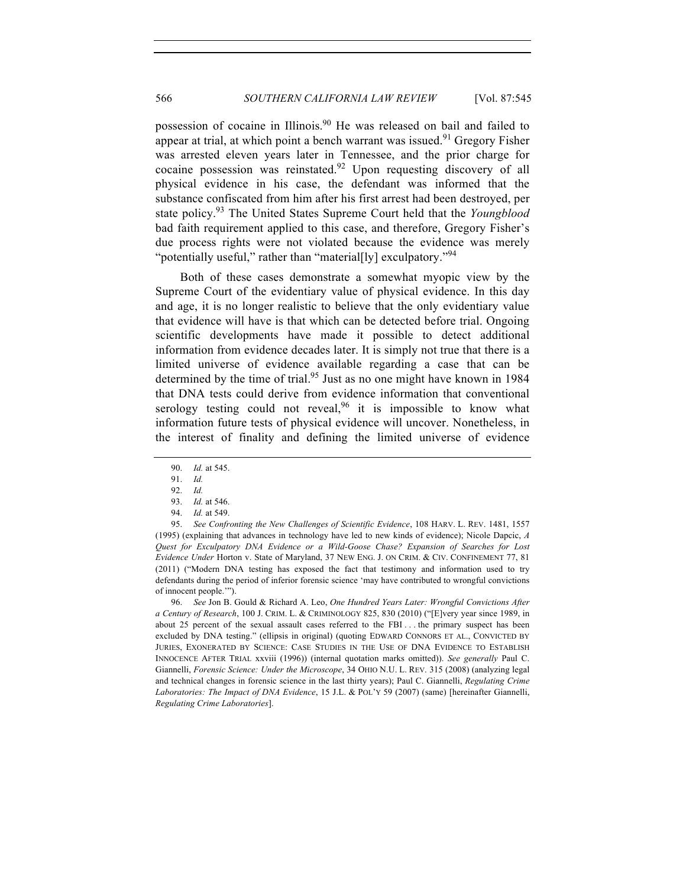possession of cocaine in Illinois.<sup>90</sup> He was released on bail and failed to appear at trial, at which point a bench warrant was issued.<sup>91</sup> Gregory Fisher was arrested eleven years later in Tennessee, and the prior charge for cocaine possession was reinstated.<sup>92</sup> Upon requesting discovery of all physical evidence in his case, the defendant was informed that the substance confiscated from him after his first arrest had been destroyed, per state policy.93 The United States Supreme Court held that the *Youngblood*  bad faith requirement applied to this case, and therefore, Gregory Fisher's due process rights were not violated because the evidence was merely "potentially useful," rather than "material[ly] exculpatory."<sup>94</sup>

Both of these cases demonstrate a somewhat myopic view by the Supreme Court of the evidentiary value of physical evidence. In this day and age, it is no longer realistic to believe that the only evidentiary value that evidence will have is that which can be detected before trial. Ongoing scientific developments have made it possible to detect additional information from evidence decades later. It is simply not true that there is a limited universe of evidence available regarding a case that can be determined by the time of trial.<sup>95</sup> Just as no one might have known in 1984 that DNA tests could derive from evidence information that conventional serology testing could not reveal,<sup>96</sup> it is impossible to know what information future tests of physical evidence will uncover. Nonetheless, in the interest of finality and defining the limited universe of evidence

95. *See Confronting the New Challenges of Scientific Evidence*, 108 HARV. L. REV. 1481, 1557 (1995) (explaining that advances in technology have led to new kinds of evidence); Nicole Dapcic, *A Quest for Exculpatory DNA Evidence or a Wild-Goose Chase? Expansion of Searches for Lost Evidence Under* Horton v. State of Maryland, 37 NEW ENG. J. ON CRIM. & CIV. CONFINEMENT 77, 81 (2011) ("Modern DNA testing has exposed the fact that testimony and information used to try defendants during the period of inferior forensic science 'may have contributed to wrongful convictions of innocent people.'").

96. *See* Jon B. Gould & Richard A. Leo, *One Hundred Years Later: Wrongful Convictions After a Century of Research*, 100 J. CRIM. L. & CRIMINOLOGY 825, 830 (2010) ("[E]very year since 1989, in about 25 percent of the sexual assault cases referred to the FBI . . . the primary suspect has been excluded by DNA testing." (ellipsis in original) (quoting EDWARD CONNORS ET AL., CONVICTED BY JURIES, EXONERATED BY SCIENCE: CASE STUDIES IN THE USE OF DNA EVIDENCE TO ESTABLISH INNOCENCE AFTER TRIAL xxviii (1996)) (internal quotation marks omitted)). *See generally* Paul C. Giannelli, *Forensic Science: Under the Microscope*, 34 OHIO N.U. L. REV. 315 (2008) (analyzing legal and technical changes in forensic science in the last thirty years); Paul C. Giannelli, *Regulating Crime Laboratories: The Impact of DNA Evidence*, 15 J.L. & POL'Y 59 (2007) (same) [hereinafter Giannelli, *Regulating Crime Laboratories*].

<sup>90.</sup> *Id.* at 545.

<sup>91.</sup> *Id.*

<sup>92.</sup> *Id.*

<sup>93.</sup> *Id.* at 546.

<sup>94.</sup> *Id.* at 549.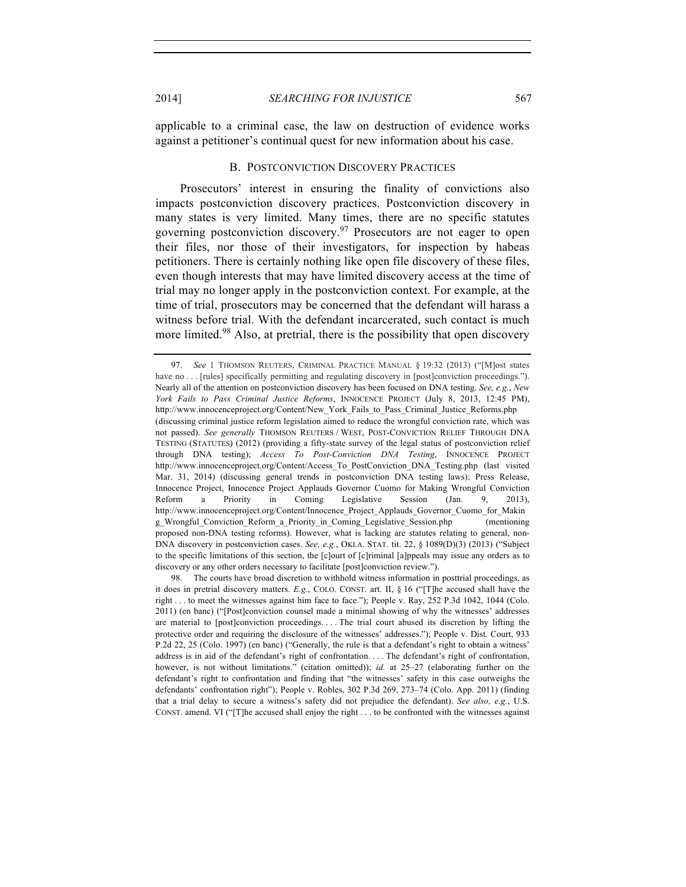applicable to a criminal case, the law on destruction of evidence works against a petitioner's continual quest for new information about his case.

#### B. POSTCONVICTION DISCOVERY PRACTICES

Prosecutors' interest in ensuring the finality of convictions also impacts postconviction discovery practices. Postconviction discovery in many states is very limited. Many times, there are no specific statutes governing postconviction discovery.<sup>97</sup> Prosecutors are not eager to open their files, nor those of their investigators, for inspection by habeas petitioners. There is certainly nothing like open file discovery of these files, even though interests that may have limited discovery access at the time of trial may no longer apply in the postconviction context. For example, at the time of trial, prosecutors may be concerned that the defendant will harass a witness before trial. With the defendant incarcerated, such contact is much more limited.<sup>98</sup> Also, at pretrial, there is the possibility that open discovery

<sup>97.</sup> *See* 1 THOMSON REUTERS, CRIMINAL PRACTICE MANUAL § 19:32 (2013) ("[M]ost states have no . . . [rules] specifically permitting and regulating discovery in [post]conviction proceedings."). Nearly all of the attention on postconviction discovery has been focused on DNA testing. *See, e.g.*, *New York Fails to Pass Criminal Justice Reforms*, INNOCENCE PROJECT (July 8, 2013, 12:45 PM), http://www.innocenceproject.org/Content/New\_York\_Fails\_to\_Pass\_Criminal\_Justice\_Reforms.php (discussing criminal justice reform legislation aimed to reduce the wrongful conviction rate, which was not passed). *See generally* THOMSON REUTERS / WEST, POST-CONVICTION RELIEF THROUGH DNA TESTING (STATUTES) (2012) (providing a fifty-state survey of the legal status of postconviction relief through DNA testing); *Access To Post-Conviction DNA Testing*, INNOCENCE PROJECT http://www.innocenceproject.org/Content/Access\_To\_PostConviction\_DNA\_Testing.php (last visited Mar. 31, 2014) (discussing general trends in postconviction DNA testing laws); Press Release, Innocence Project, Innocence Project Applauds Governor Cuomo for Making Wrongful Conviction Reform a Priority in Coming Legislative Session (Jan. 9, 2013), http://www.innocenceproject.org/Content/Innocence\_Project\_Applauds\_Governor\_Cuomo\_for\_Makin g\_Wrongful\_Conviction\_Reform\_a\_Priority\_in\_Coming\_Legislative\_Session.php (mentioning proposed non-DNA testing reforms). However, what is lacking are statutes relating to general, non-DNA discovery in postconviction cases. *See, e.g.*, OKLA. STAT. tit. 22, § 1089(D)(3) (2013) ("Subject to the specific limitations of this section, the [c]ourt of [c]riminal [a]ppeals may issue any orders as to discovery or any other orders necessary to facilitate [post]conviction review.").

<sup>98.</sup> The courts have broad discretion to withhold witness information in posttrial proceedings, as it does in pretrial discovery matters. *E.g.*, COLO. CONST. art. II, § 16 ("[T]he accused shall have the right . . . to meet the witnesses against him face to face."); People v. Ray, 252 P.3d 1042, 1044 (Colo. 2011) (en banc) ("[Post]conviction counsel made a minimal showing of why the witnesses' addresses are material to [post]conviction proceedings. . . . The trial court abused its discretion by lifting the protective order and requiring the disclosure of the witnesses' addresses."); People v. Dist. Court, 933 P.2d 22, 25 (Colo. 1997) (en banc) ("Generally, the rule is that a defendant's right to obtain a witness' address is in aid of the defendant's right of confrontation. . . . The defendant's right of confrontation, however, is not without limitations." (citation omitted)); *id.* at 25–27 (elaborating further on the defendant's right to confrontation and finding that "the witnesses' safety in this case outweighs the defendants' confrontation right"); People v. Robles, 302 P.3d 269, 273-74 (Colo. App. 2011) (finding that a trial delay to secure a witness's safety did not prejudice the defendant). *See also, e.g.*, U.S. CONST. amend. VI ("[T]he accused shall enjoy the right . . . to be confronted with the witnesses against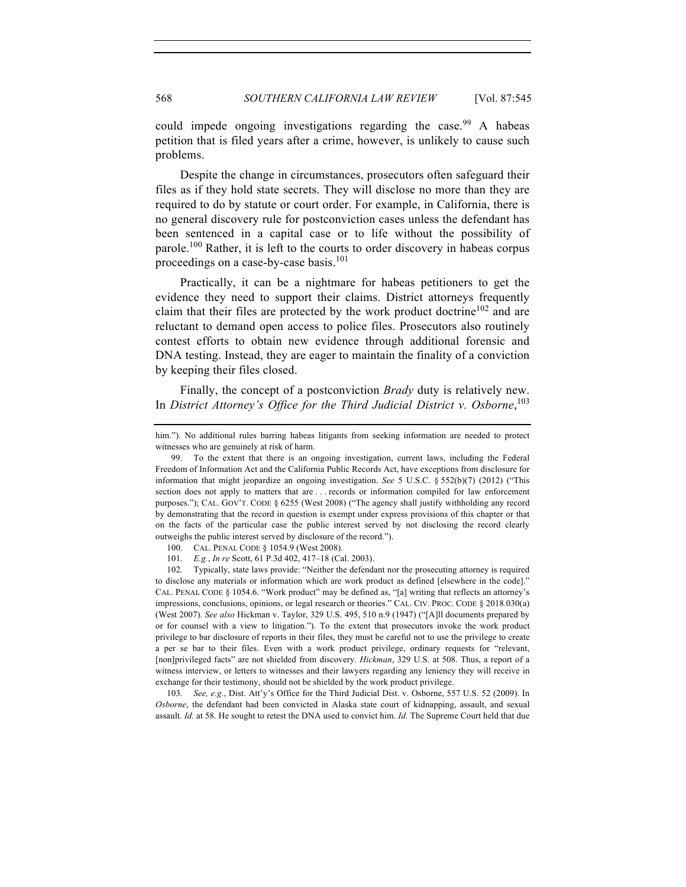could impede ongoing investigations regarding the case.<sup>99</sup> A habeas petition that is filed years after a crime, however, is unlikely to cause such problems.

Despite the change in circumstances, prosecutors often safeguard their files as if they hold state secrets. They will disclose no more than they are required to do by statute or court order. For example, in California, there is no general discovery rule for postconviction cases unless the defendant has been sentenced in a capital case or to life without the possibility of parole.<sup>100</sup> Rather, it is left to the courts to order discovery in habeas corpus proceedings on a case-by-case basis.<sup>101</sup>

Practically, it can be a nightmare for habeas petitioners to get the evidence they need to support their claims. District attorneys frequently claim that their files are protected by the work product doctrine<sup>102</sup> and are reluctant to demand open access to police files. Prosecutors also routinely contest efforts to obtain new evidence through additional forensic and DNA testing. Instead, they are eager to maintain the finality of a conviction by keeping their files closed.

Finally, the concept of a postconviction *Brady* duty is relatively new. In *District Attorney's Office for the Third Judicial District v. Osborne*, 103

102. Typically, state laws provide: "Neither the defendant nor the prosecuting attorney is required to disclose any materials or information which are work product as defined [elsewhere in the code]." CAL. PENAL CODE § 1054.6. "Work product" may be defined as, "[a] writing that reflects an attorney's impressions, conclusions, opinions, or legal research or theories." CAL. CIV. PROC. CODE § 2018.030(a) (West 2007). *See also* Hickman v. Taylor, 329 U.S. 495, 510 n.9 (1947) ("[A]ll documents prepared by or for counsel with a view to litigation."). To the extent that prosecutors invoke the work product privilege to bar disclosure of reports in their files, they must be careful not to use the privilege to create a per se bar to their files. Even with a work product privilege, ordinary requests for "relevant, [non]privileged facts" are not shielded from discovery. *Hickman*, 329 U.S. at 508. Thus, a report of a witness interview, or letters to witnesses and their lawyers regarding any leniency they will receive in exchange for their testimony, should not be shielded by the work product privilege.

103. *See, e.g.*, Dist. Att'y's Office for the Third Judicial Dist. v. Osborne, 557 U.S. 52 (2009). In *Osborne*, the defendant had been convicted in Alaska state court of kidnapping, assault, and sexual assault. *Id.* at 58. He sought to retest the DNA used to convict him. *Id.* The Supreme Court held that due

him."). No additional rules barring habeas litigants from seeking information are needed to protect witnesses who are genuinely at risk of harm.

<sup>99.</sup> To the extent that there is an ongoing investigation, current laws, including the Federal Freedom of Information Act and the California Public Records Act, have exceptions from disclosure for information that might jeopardize an ongoing investigation. *See* 5 U.S.C. § 552(b)(7) (2012) ("This section does not apply to matters that are . . . records or information compiled for law enforcement purposes."); CAL. GOV'T. CODE § 6255 (West 2008) ("The agency shall justify withholding any record by demonstrating that the record in question is exempt under express provisions of this chapter or that on the facts of the particular case the public interest served by not disclosing the record clearly outweighs the public interest served by disclosure of the record.").

<sup>100.</sup> CAL. PENAL CODE § 1054.9 (West 2008).

<sup>101.</sup> *E.g.*, *In re* Scott, 61 P.3d 402, 417–18 (Cal. 2003).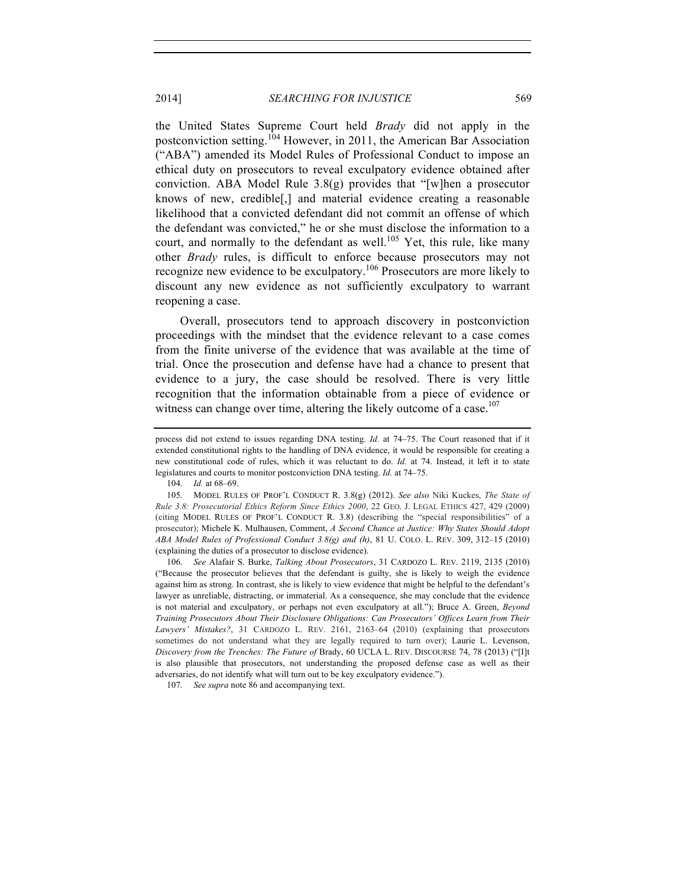the United States Supreme Court held *Brady* did not apply in the postconviction setting.<sup>104</sup> However, in 2011, the American Bar Association ("ABA") amended its Model Rules of Professional Conduct to impose an ethical duty on prosecutors to reveal exculpatory evidence obtained after conviction. ABA Model Rule 3.8(g) provides that "[w]hen a prosecutor knows of new, credible[,] and material evidence creating a reasonable likelihood that a convicted defendant did not commit an offense of which the defendant was convicted," he or she must disclose the information to a court, and normally to the defendant as well.<sup>105</sup> Yet, this rule, like many other *Brady* rules, is difficult to enforce because prosecutors may not recognize new evidence to be exculpatory.<sup>106</sup> Prosecutors are more likely to discount any new evidence as not sufficiently exculpatory to warrant reopening a case.

Overall, prosecutors tend to approach discovery in postconviction proceedings with the mindset that the evidence relevant to a case comes from the finite universe of the evidence that was available at the time of trial. Once the prosecution and defense have had a chance to present that evidence to a jury, the case should be resolved. There is very little recognition that the information obtainable from a piece of evidence or witness can change over time, altering the likely outcome of a case. $107$ 

104. *Id.* at 68–69.

106. *See* Alafair S. Burke, *Talking About Prosecutors*, 31 CARDOZO L. REV. 2119, 2135 (2010) ("Because the prosecutor believes that the defendant is guilty, she is likely to weigh the evidence against him as strong. In contrast, she is likely to view evidence that might be helpful to the defendant's lawyer as unreliable, distracting, or immaterial. As a consequence, she may conclude that the evidence is not material and exculpatory, or perhaps not even exculpatory at all."); Bruce A. Green, *Beyond Training Prosecutors About Their Disclosure Obligations: Can Prosecutors' Offices Learn from Their Lawyers' Mistakes?*, 31 CARDOZO L. REV. 2161, 2163–64 (2010) (explaining that prosecutors sometimes do not understand what they are legally required to turn over); Laurie L. Levenson, *Discovery from the Trenches: The Future of* Brady, 60 UCLA L. REV. DISCOURSE 74, 78 (2013) ("[I]t is also plausible that prosecutors, not understanding the proposed defense case as well as their adversaries, do not identify what will turn out to be key exculpatory evidence.").

107. *See supra* note 86 and accompanying text.

process did not extend to issues regarding DNA testing. *Id.* at 74–75. The Court reasoned that if it extended constitutional rights to the handling of DNA evidence, it would be responsible for creating a new constitutional code of rules, which it was reluctant to do. *Id.* at 74. Instead, it left it to state legislatures and courts to monitor postconviction DNA testing. *Id.* at 74–75.

<sup>105.</sup> MODEL RULES OF PROF'L CONDUCT R. 3.8(g) (2012). *See also* Niki Kuckes, *The State of Rule 3.8: Prosecutorial Ethics Reform Since Ethics 2000*, 22 GEO. J. LEGAL ETHICS 427, 429 (2009) (citing MODEL RULES OF PROF'L CONDUCT R. 3.8) (describing the "special responsibilities" of a prosecutor); Michele K. Mulhausen, Comment, *A Second Chance at Justice: Why States Should Adopt ABA Model Rules of Professional Conduct 3.8(g) and (h)*, 81 U. COLO. L. REV. 309, 312–15 (2010) (explaining the duties of a prosecutor to disclose evidence).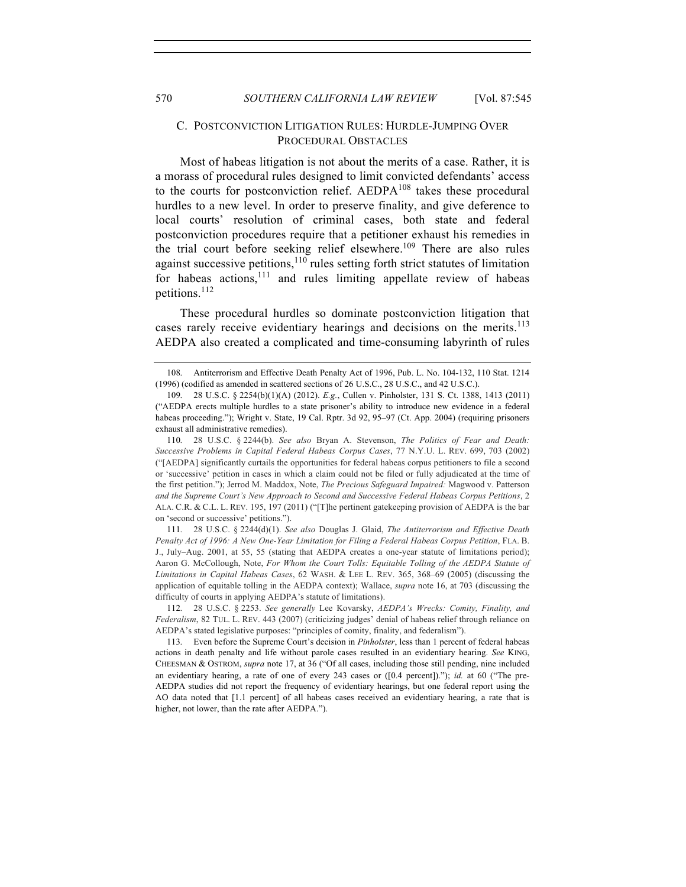#### C. POSTCONVICTION LITIGATION RULES: HURDLE-JUMPING OVER PROCEDURAL OBSTACLES

Most of habeas litigation is not about the merits of a case. Rather, it is a morass of procedural rules designed to limit convicted defendants' access to the courts for postconviction relief. AEDPA<sup>108</sup> takes these procedural hurdles to a new level. In order to preserve finality, and give deference to local courts' resolution of criminal cases, both state and federal postconviction procedures require that a petitioner exhaust his remedies in the trial court before seeking relief elsewhere.<sup>109</sup> There are also rules against successive petitions, $110$  rules setting forth strict statutes of limitation for habeas actions, $111$  and rules limiting appellate review of habeas petitions.112

These procedural hurdles so dominate postconviction litigation that cases rarely receive evidentiary hearings and decisions on the merits.<sup>113</sup> AEDPA also created a complicated and time-consuming labyrinth of rules

<sup>108.</sup> Antiterrorism and Effective Death Penalty Act of 1996, Pub. L. No. 104-132, 110 Stat. 1214 (1996) (codified as amended in scattered sections of 26 U.S.C., 28 U.S.C., and 42 U.S.C.).

<sup>109.</sup> 28 U.S.C. § 2254(b)(1)(A) (2012). *E.g.*, Cullen v. Pinholster, 131 S. Ct. 1388, 1413 (2011) ("AEDPA erects multiple hurdles to a state prisoner's ability to introduce new evidence in a federal habeas proceeding."); Wright v. State, 19 Cal. Rptr. 3d 92, 95-97 (Ct. App. 2004) (requiring prisoners exhaust all administrative remedies).

<sup>110.</sup> 28 U.S.C. § 2244(b). *See also* Bryan A. Stevenson, *The Politics of Fear and Death: Successive Problems in Capital Federal Habeas Corpus Cases*, 77 N.Y.U. L. REV. 699, 703 (2002) ("[AEDPA] significantly curtails the opportunities for federal habeas corpus petitioners to file a second or 'successive' petition in cases in which a claim could not be filed or fully adjudicated at the time of the first petition."); Jerrod M. Maddox, Note, *The Precious Safeguard Impaired:* Magwood v. Patterson *and the Supreme Court's New Approach to Second and Successive Federal Habeas Corpus Petitions*, 2 ALA. C.R. & C.L. L. REV. 195, 197 (2011) ("[T]he pertinent gatekeeping provision of AEDPA is the bar on 'second or successive' petitions.").

<sup>111.</sup> 28 U.S.C. § 2244(d)(1). *See also* Douglas J. Glaid, *The Antiterrorism and Effective Death Penalty Act of 1996: A New One-Year Limitation for Filing a Federal Habeas Corpus Petition*, FLA. B. J., July–Aug. 2001, at 55, 55 (stating that AEDPA creates a one-year statute of limitations period); Aaron G. McCollough, Note, *For Whom the Court Tolls: Equitable Tolling of the AEDPA Statute of Limitations in Capital Habeas Cases*, 62 WASH. & LEE L. REV. 365, 368–69 (2005) (discussing the application of equitable tolling in the AEDPA context); Wallace, *supra* note 16, at 703 (discussing the difficulty of courts in applying AEDPA's statute of limitations).

<sup>112.</sup> 28 U.S.C. § 2253. *See generally* Lee Kovarsky, *AEDPA's Wrecks: Comity, Finality, and Federalism*, 82 TUL. L. REV. 443 (2007) (criticizing judges' denial of habeas relief through reliance on AEDPA's stated legislative purposes: "principles of comity, finality, and federalism").

<sup>113.</sup> Even before the Supreme Court's decision in *Pinholster*, less than 1 percent of federal habeas actions in death penalty and life without parole cases resulted in an evidentiary hearing. *See* KING, CHEESMAN & OSTROM, *supra* note 17, at 36 ("Of all cases, including those still pending, nine included an evidentiary hearing, a rate of one of every 243 cases or ([0.4 percent])."); *id.* at 60 ("The pre-AEDPA studies did not report the frequency of evidentiary hearings, but one federal report using the AO data noted that [1.1 percent] of all habeas cases received an evidentiary hearing, a rate that is higher, not lower, than the rate after AEDPA.").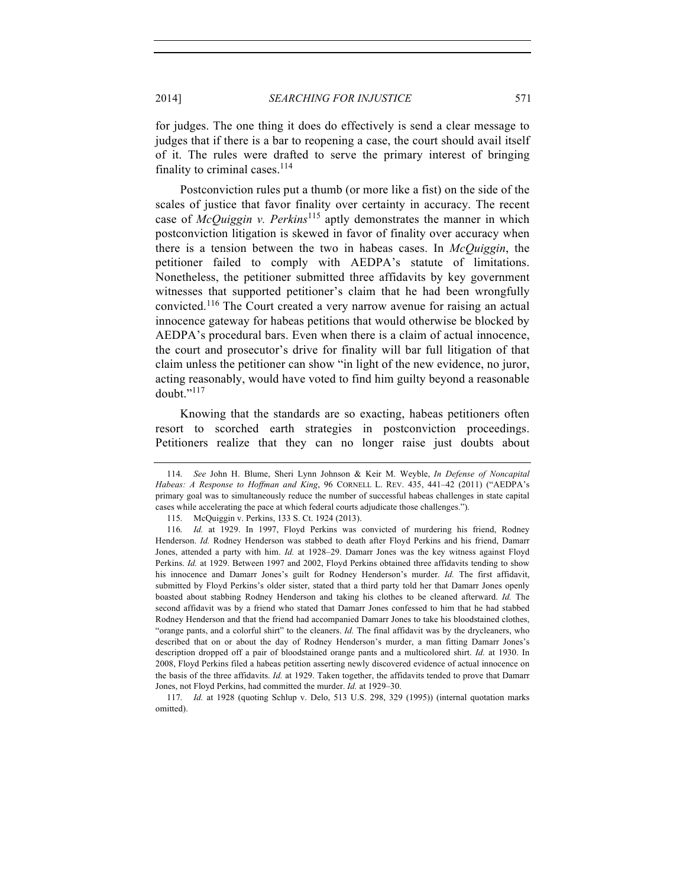for judges. The one thing it does do effectively is send a clear message to judges that if there is a bar to reopening a case, the court should avail itself of it. The rules were drafted to serve the primary interest of bringing finality to criminal cases. $114$ 

Postconviction rules put a thumb (or more like a fist) on the side of the scales of justice that favor finality over certainty in accuracy. The recent case of *McQuiggin v. Perkins*<sup>115</sup> aptly demonstrates the manner in which postconviction litigation is skewed in favor of finality over accuracy when there is a tension between the two in habeas cases. In *McQuiggin*, the petitioner failed to comply with AEDPA's statute of limitations. Nonetheless, the petitioner submitted three affidavits by key government witnesses that supported petitioner's claim that he had been wrongfully convicted.<sup>116</sup> The Court created a very narrow avenue for raising an actual innocence gateway for habeas petitions that would otherwise be blocked by AEDPA's procedural bars. Even when there is a claim of actual innocence, the court and prosecutor's drive for finality will bar full litigation of that claim unless the petitioner can show "in light of the new evidence, no juror, acting reasonably, would have voted to find him guilty beyond a reasonable doubt. $"$ <sup>117</sup>

Knowing that the standards are so exacting, habeas petitioners often resort to scorched earth strategies in postconviction proceedings. Petitioners realize that they can no longer raise just doubts about

<sup>114.</sup> *See* John H. Blume, Sheri Lynn Johnson & Keir M. Weyble, *In Defense of Noncapital Habeas: A Response to Hoffman and King*, 96 CORNELL L. REV. 435, 441–42 (2011) ("AEDPA's primary goal was to simultaneously reduce the number of successful habeas challenges in state capital cases while accelerating the pace at which federal courts adjudicate those challenges.").

<sup>115.</sup> McQuiggin v. Perkins, 133 S. Ct. 1924 (2013).

<sup>116.</sup> *Id.* at 1929. In 1997, Floyd Perkins was convicted of murdering his friend, Rodney Henderson. *Id.* Rodney Henderson was stabbed to death after Floyd Perkins and his friend, Damarr Jones, attended a party with him. *Id.* at 1928–29. Damarr Jones was the key witness against Floyd Perkins. *Id.* at 1929. Between 1997 and 2002, Floyd Perkins obtained three affidavits tending to show his innocence and Damarr Jones's guilt for Rodney Henderson's murder. *Id.* The first affidavit, submitted by Floyd Perkins's older sister, stated that a third party told her that Damarr Jones openly boasted about stabbing Rodney Henderson and taking his clothes to be cleaned afterward. *Id.* The second affidavit was by a friend who stated that Damarr Jones confessed to him that he had stabbed Rodney Henderson and that the friend had accompanied Damarr Jones to take his bloodstained clothes, "orange pants, and a colorful shirt" to the cleaners. *Id.* The final affidavit was by the drycleaners, who described that on or about the day of Rodney Henderson's murder, a man fitting Damarr Jones's description dropped off a pair of bloodstained orange pants and a multicolored shirt. *Id.* at 1930. In 2008, Floyd Perkins filed a habeas petition asserting newly discovered evidence of actual innocence on the basis of the three affidavits. *Id.* at 1929. Taken together, the affidavits tended to prove that Damarr Jones, not Floyd Perkins, had committed the murder. *Id.* at 1929–30.

<sup>117.</sup> *Id.* at 1928 (quoting Schlup v. Delo, 513 U.S. 298, 329 (1995)) (internal quotation marks omitted).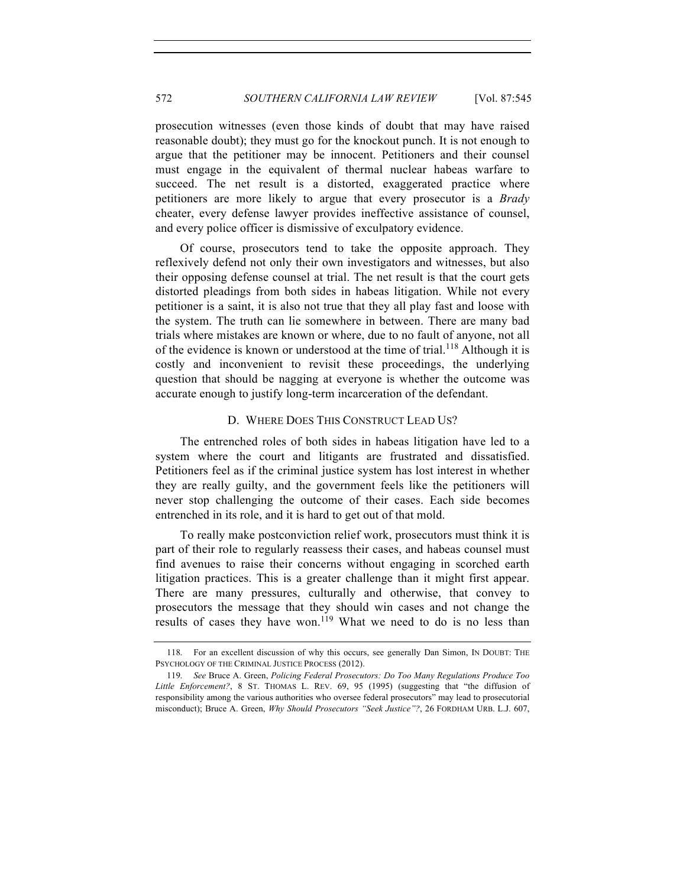prosecution witnesses (even those kinds of doubt that may have raised reasonable doubt); they must go for the knockout punch. It is not enough to argue that the petitioner may be innocent. Petitioners and their counsel must engage in the equivalent of thermal nuclear habeas warfare to succeed. The net result is a distorted, exaggerated practice where petitioners are more likely to argue that every prosecutor is a *Brady* cheater, every defense lawyer provides ineffective assistance of counsel, and every police officer is dismissive of exculpatory evidence.

Of course, prosecutors tend to take the opposite approach. They reflexively defend not only their own investigators and witnesses, but also their opposing defense counsel at trial. The net result is that the court gets distorted pleadings from both sides in habeas litigation. While not every petitioner is a saint, it is also not true that they all play fast and loose with the system. The truth can lie somewhere in between. There are many bad trials where mistakes are known or where, due to no fault of anyone, not all of the evidence is known or understood at the time of trial.<sup>118</sup> Although it is costly and inconvenient to revisit these proceedings, the underlying question that should be nagging at everyone is whether the outcome was accurate enough to justify long-term incarceration of the defendant.

#### D. WHERE DOES THIS CONSTRUCT LEAD US?

The entrenched roles of both sides in habeas litigation have led to a system where the court and litigants are frustrated and dissatisfied. Petitioners feel as if the criminal justice system has lost interest in whether they are really guilty, and the government feels like the petitioners will never stop challenging the outcome of their cases. Each side becomes entrenched in its role, and it is hard to get out of that mold.

To really make postconviction relief work, prosecutors must think it is part of their role to regularly reassess their cases, and habeas counsel must find avenues to raise their concerns without engaging in scorched earth litigation practices. This is a greater challenge than it might first appear. There are many pressures, culturally and otherwise, that convey to prosecutors the message that they should win cases and not change the results of cases they have won.<sup>119</sup> What we need to do is no less than

<sup>118.</sup> For an excellent discussion of why this occurs, see generally Dan Simon, IN DOUBT: THE PSYCHOLOGY OF THE CRIMINAL JUSTICE PROCESS (2012).

<sup>119.</sup> *See* Bruce A. Green, *Policing Federal Prosecutors: Do Too Many Regulations Produce Too*  Little Enforcement?, 8 ST. THOMAS L. REV. 69, 95 (1995) (suggesting that "the diffusion of responsibility among the various authorities who oversee federal prosecutors" may lead to prosecutorial misconduct); Bruce A. Green, *Why Should Prosecutors "Seek Justice"?*, 26 FORDHAM URB. L.J. 607,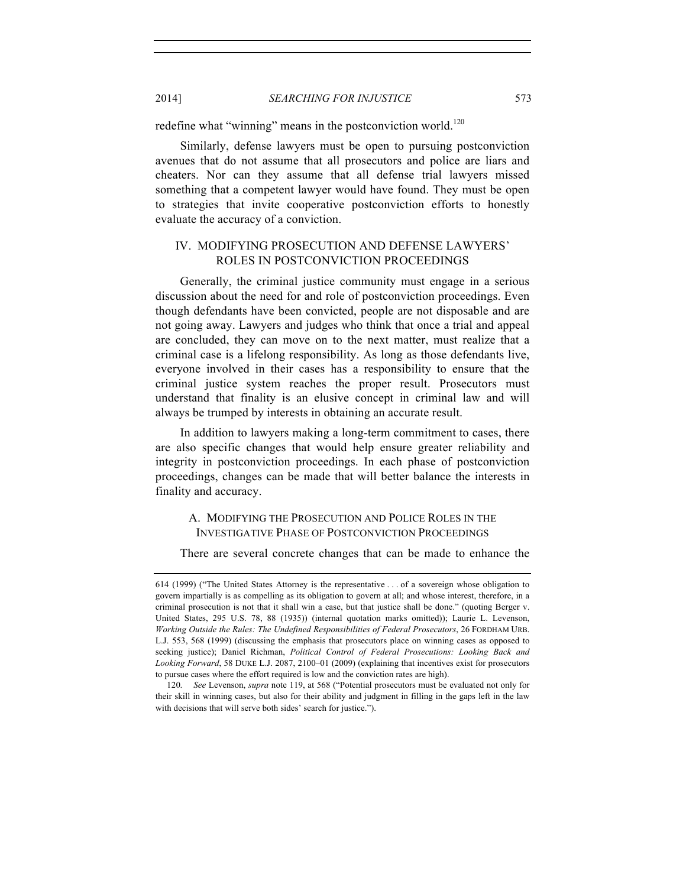2014] *SEARCHING FOR INJUSTICE* 573

redefine what "winning" means in the postconviction world. $120$ 

Similarly, defense lawyers must be open to pursuing postconviction avenues that do not assume that all prosecutors and police are liars and cheaters. Nor can they assume that all defense trial lawyers missed something that a competent lawyer would have found. They must be open to strategies that invite cooperative postconviction efforts to honestly evaluate the accuracy of a conviction.

## IV. MODIFYING PROSECUTION AND DEFENSE LAWYERS' ROLES IN POSTCONVICTION PROCEEDINGS

Generally, the criminal justice community must engage in a serious discussion about the need for and role of postconviction proceedings. Even though defendants have been convicted, people are not disposable and are not going away. Lawyers and judges who think that once a trial and appeal are concluded, they can move on to the next matter, must realize that a criminal case is a lifelong responsibility. As long as those defendants live, everyone involved in their cases has a responsibility to ensure that the criminal justice system reaches the proper result. Prosecutors must understand that finality is an elusive concept in criminal law and will always be trumped by interests in obtaining an accurate result.

In addition to lawyers making a long-term commitment to cases, there are also specific changes that would help ensure greater reliability and integrity in postconviction proceedings. In each phase of postconviction proceedings, changes can be made that will better balance the interests in finality and accuracy.

# A. MODIFYING THE PROSECUTION AND POLICE ROLES IN THE INVESTIGATIVE PHASE OF POSTCONVICTION PROCEEDINGS

There are several concrete changes that can be made to enhance the

<sup>614 (1999)</sup> ("The United States Attorney is the representative . . . of a sovereign whose obligation to govern impartially is as compelling as its obligation to govern at all; and whose interest, therefore, in a criminal prosecution is not that it shall win a case, but that justice shall be done." (quoting Berger v. United States, 295 U.S. 78, 88 (1935)) (internal quotation marks omitted)); Laurie L. Levenson, *Working Outside the Rules: The Undefined Responsibilities of Federal Prosecutors*, 26 FORDHAM URB. L.J. 553, 568 (1999) (discussing the emphasis that prosecutors place on winning cases as opposed to seeking justice); Daniel Richman, *Political Control of Federal Prosecutions: Looking Back and Looking Forward*, 58 DUKE L.J. 2087, 2100–01 (2009) (explaining that incentives exist for prosecutors to pursue cases where the effort required is low and the conviction rates are high).

<sup>120.</sup> *See* Levenson, *supra* note 119, at 568 ("Potential prosecutors must be evaluated not only for their skill in winning cases, but also for their ability and judgment in filling in the gaps left in the law with decisions that will serve both sides' search for justice.").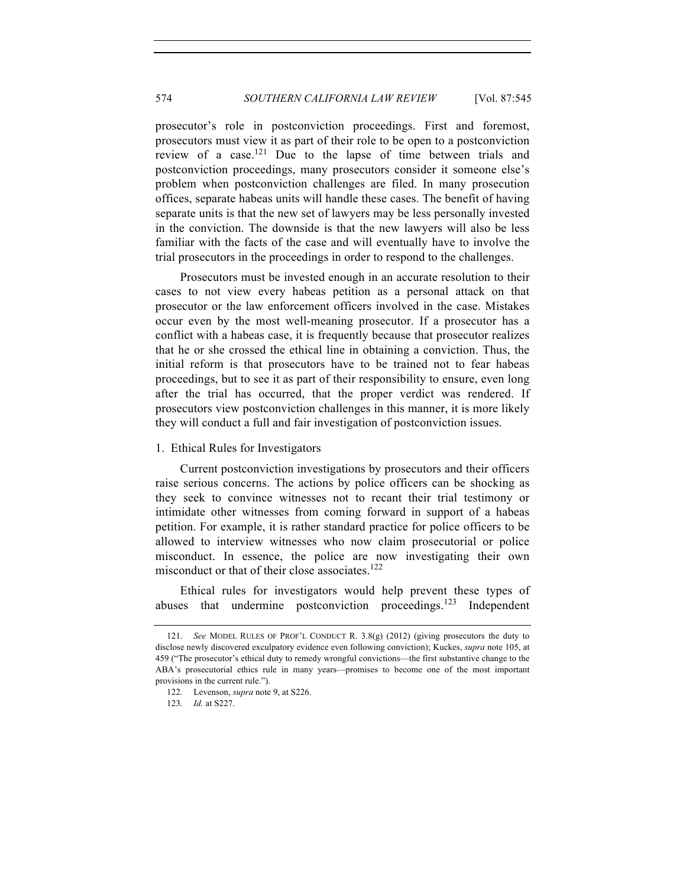prosecutor's role in postconviction proceedings. First and foremost, prosecutors must view it as part of their role to be open to a postconviction review of a case.<sup>121</sup> Due to the lapse of time between trials and postconviction proceedings, many prosecutors consider it someone else's problem when postconviction challenges are filed. In many prosecution offices, separate habeas units will handle these cases. The benefit of having separate units is that the new set of lawyers may be less personally invested in the conviction. The downside is that the new lawyers will also be less familiar with the facts of the case and will eventually have to involve the trial prosecutors in the proceedings in order to respond to the challenges.

Prosecutors must be invested enough in an accurate resolution to their cases to not view every habeas petition as a personal attack on that prosecutor or the law enforcement officers involved in the case. Mistakes occur even by the most well-meaning prosecutor. If a prosecutor has a conflict with a habeas case, it is frequently because that prosecutor realizes that he or she crossed the ethical line in obtaining a conviction. Thus, the initial reform is that prosecutors have to be trained not to fear habeas proceedings, but to see it as part of their responsibility to ensure, even long after the trial has occurred, that the proper verdict was rendered. If prosecutors view postconviction challenges in this manner, it is more likely they will conduct a full and fair investigation of postconviction issues.

#### 1. Ethical Rules for Investigators

Current postconviction investigations by prosecutors and their officers raise serious concerns. The actions by police officers can be shocking as they seek to convince witnesses not to recant their trial testimony or intimidate other witnesses from coming forward in support of a habeas petition. For example, it is rather standard practice for police officers to be allowed to interview witnesses who now claim prosecutorial or police misconduct. In essence, the police are now investigating their own misconduct or that of their close associates.<sup>122</sup>

Ethical rules for investigators would help prevent these types of abuses that undermine postconviction proceedings.<sup>123</sup> Independent

<sup>121.</sup> *See* MODEL RULES OF PROF'L CONDUCT R. 3.8(g) (2012) (giving prosecutors the duty to disclose newly discovered exculpatory evidence even following conviction); Kuckes, *supra* note 105, at 459 ("The prosecutor's ethical duty to remedy wrongful convictions—the first substantive change to the ABA's prosecutorial ethics rule in many years—promises to become one of the most important provisions in the current rule.").

<sup>122.</sup> Levenson, *supra* note 9, at S226.

<sup>123.</sup> *Id.* at S227.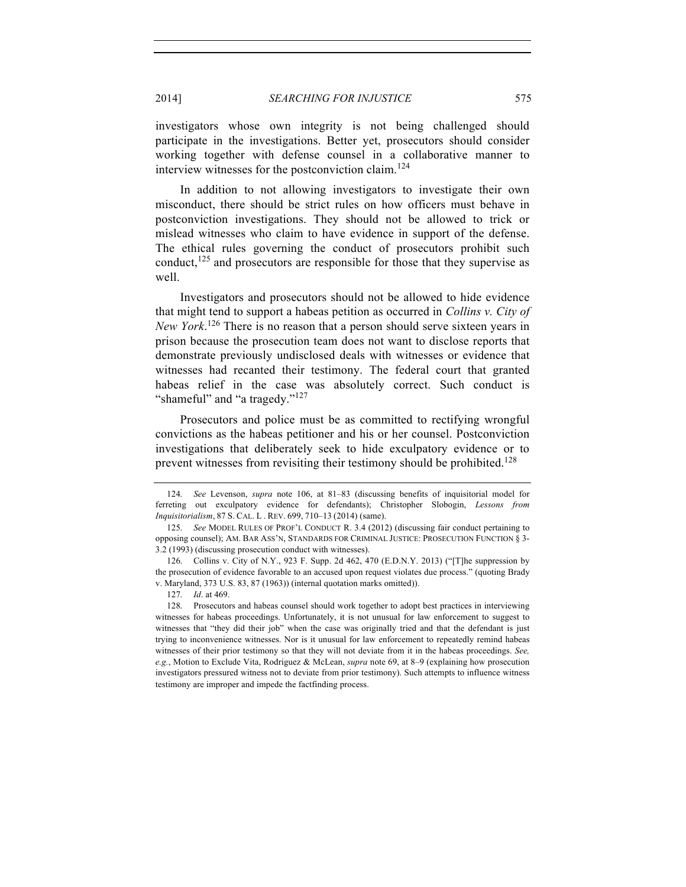investigators whose own integrity is not being challenged should participate in the investigations. Better yet, prosecutors should consider working together with defense counsel in a collaborative manner to interview witnesses for the postconviction claim.<sup>124</sup>

In addition to not allowing investigators to investigate their own misconduct, there should be strict rules on how officers must behave in postconviction investigations. They should not be allowed to trick or mislead witnesses who claim to have evidence in support of the defense. The ethical rules governing the conduct of prosecutors prohibit such conduct,  $125$  and prosecutors are responsible for those that they supervise as well.

Investigators and prosecutors should not be allowed to hide evidence that might tend to support a habeas petition as occurred in *Collins v. City of New York*. <sup>126</sup> There is no reason that a person should serve sixteen years in prison because the prosecution team does not want to disclose reports that demonstrate previously undisclosed deals with witnesses or evidence that witnesses had recanted their testimony. The federal court that granted habeas relief in the case was absolutely correct. Such conduct is "shameful" and "a tragedy."<sup>127</sup>

Prosecutors and police must be as committed to rectifying wrongful convictions as the habeas petitioner and his or her counsel. Postconviction investigations that deliberately seek to hide exculpatory evidence or to prevent witnesses from revisiting their testimony should be prohibited.<sup>128</sup>

<sup>124.</sup> *See* Levenson, *supra* note 106, at 81–83 (discussing benefits of inquisitorial model for ferreting out exculpatory evidence for defendants); Christopher Slobogin, *Lessons from Inquisitorialism*, 87 S. CAL. L . REV. 699, 710–13 (2014) (same).

<sup>125.</sup> *See* MODEL RULES OF PROF'L CONDUCT R. 3.4 (2012) (discussing fair conduct pertaining to opposing counsel); AM. BAR ASS'N, STANDARDS FOR CRIMINAL JUSTICE: PROSECUTION FUNCTION § 3- 3.2 (1993) (discussing prosecution conduct with witnesses).

<sup>126.</sup> Collins v. City of N.Y., 923 F. Supp. 2d 462, 470 (E.D.N.Y. 2013) ("[T]he suppression by the prosecution of evidence favorable to an accused upon request violates due process." (quoting Brady v. Maryland, 373 U.S. 83, 87 (1963)) (internal quotation marks omitted)).

<sup>127.</sup> *Id*. at 469.

<sup>128.</sup> Prosecutors and habeas counsel should work together to adopt best practices in interviewing witnesses for habeas proceedings. Unfortunately, it is not unusual for law enforcement to suggest to witnesses that "they did their job" when the case was originally tried and that the defendant is just trying to inconvenience witnesses. Nor is it unusual for law enforcement to repeatedly remind habeas witnesses of their prior testimony so that they will not deviate from it in the habeas proceedings. *See, e.g.*, Motion to Exclude Vita, Rodriguez & McLean, *supra* note 69, at 8–9 (explaining how prosecution investigators pressured witness not to deviate from prior testimony). Such attempts to influence witness testimony are improper and impede the factfinding process.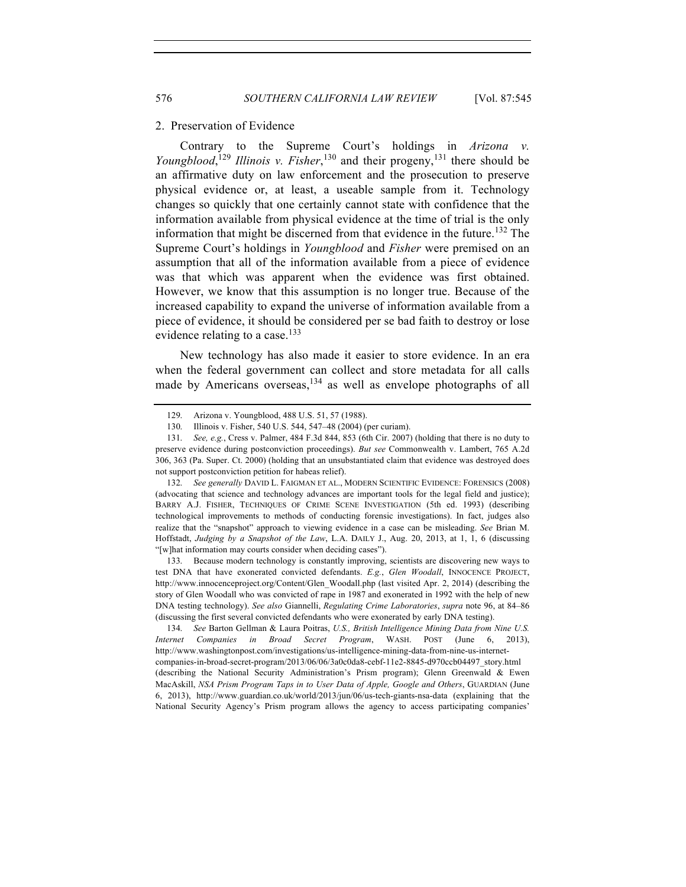#### 2. Preservation of Evidence

Contrary to the Supreme Court's holdings in *Arizona v. Youngblood*,<sup>129</sup> *Illinois v. Fisher*,<sup>130</sup> and their progeny,<sup>131</sup> there should be an affirmative duty on law enforcement and the prosecution to preserve physical evidence or, at least, a useable sample from it. Technology changes so quickly that one certainly cannot state with confidence that the information available from physical evidence at the time of trial is the only information that might be discerned from that evidence in the future.<sup>132</sup> The Supreme Court's holdings in *Youngblood* and *Fisher* were premised on an assumption that all of the information available from a piece of evidence was that which was apparent when the evidence was first obtained. However, we know that this assumption is no longer true. Because of the increased capability to expand the universe of information available from a piece of evidence, it should be considered per se bad faith to destroy or lose evidence relating to a case.<sup>133</sup>

New technology has also made it easier to store evidence. In an era when the federal government can collect and store metadata for all calls made by Americans overseas,<sup>134</sup> as well as envelope photographs of all

132. *See generally* DAVID L. FAIGMAN ET AL., MODERN SCIENTIFIC EVIDENCE: FORENSICS (2008) (advocating that science and technology advances are important tools for the legal field and justice); BARRY A.J. FISHER, TECHNIQUES OF CRIME SCENE INVESTIGATION (5th ed. 1993) (describing technological improvements to methods of conducting forensic investigations). In fact, judges also realize that the "snapshot" approach to viewing evidence in a case can be misleading. *See* Brian M. Hoffstadt, *Judging by a Snapshot of the Law*, L.A. DAILY J., Aug. 20, 2013, at 1, 1, 6 (discussing "[w]hat information may courts consider when deciding cases").

133. Because modern technology is constantly improving, scientists are discovering new ways to test DNA that have exonerated convicted defendants. *E.g.*, *Glen Woodall*, INNOCENCE PROJECT, http://www.innocenceproject.org/Content/Glen\_Woodall.php (last visited Apr. 2, 2014) (describing the story of Glen Woodall who was convicted of rape in 1987 and exonerated in 1992 with the help of new DNA testing technology). *See also* Giannelli, *Regulating Crime Laboratories*, *supra* note 96, at 84–86 (discussing the first several convicted defendants who were exonerated by early DNA testing).

134. *See* Barton Gellman & Laura Poitras, *U.S., British Intelligence Mining Data from Nine U.S. Internet Companies in Broad Secret Program*, WASH. POST (June 6, 2013), http://www.washingtonpost.com/investigations/us-intelligence-mining-data-from-nine-us-internetcompanies-in-broad-secret-program/2013/06/06/3a0c0da8-cebf-11e2-8845-d970ccb04497\_story.html (describing the National Security Administration's Prism program); Glenn Greenwald & Ewen MacAskill, *NSA Prism Program Taps in to User Data of Apple, Google and Others*, GUARDIAN (June 6, 2013), http://www.guardian.co.uk/world/2013/jun/06/us-tech-giants-nsa-data (explaining that the National Security Agency's Prism program allows the agency to access participating companies'

<sup>129.</sup> Arizona v. Youngblood, 488 U.S. 51, 57 (1988).

<sup>130.</sup> Illinois v. Fisher, 540 U.S. 544, 547–48 (2004) (per curiam).

<sup>131.</sup> *See, e.g.*, Cress v. Palmer, 484 F.3d 844, 853 (6th Cir. 2007) (holding that there is no duty to preserve evidence during postconviction proceedings). *But see* Commonwealth v. Lambert, 765 A.2d 306, 363 (Pa. Super. Ct. 2000) (holding that an unsubstantiated claim that evidence was destroyed does not support postconviction petition for habeas relief).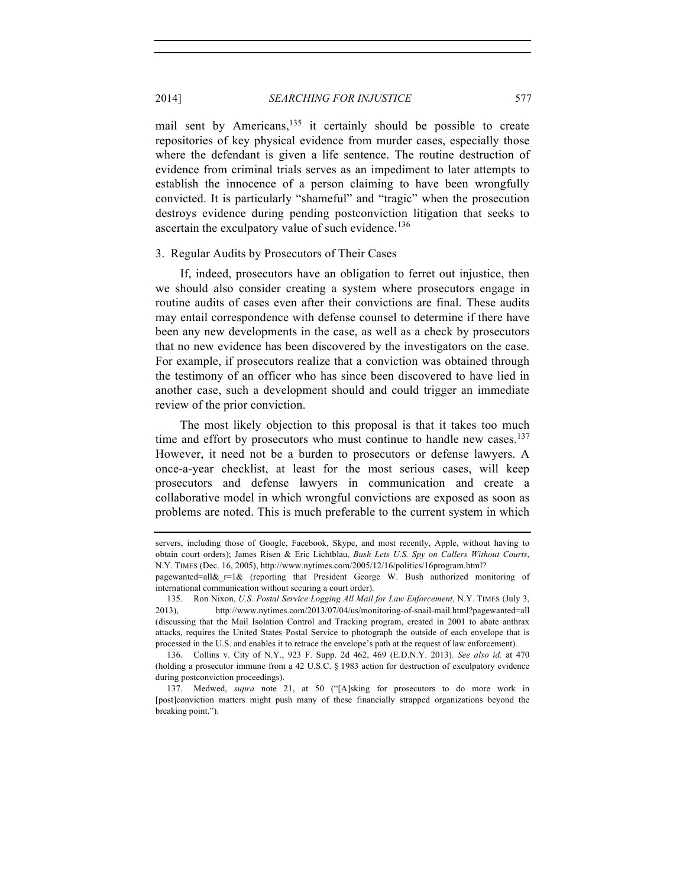mail sent by Americans,  $135$  it certainly should be possible to create repositories of key physical evidence from murder cases, especially those where the defendant is given a life sentence. The routine destruction of evidence from criminal trials serves as an impediment to later attempts to establish the innocence of a person claiming to have been wrongfully convicted. It is particularly "shameful" and "tragic" when the prosecution destroys evidence during pending postconviction litigation that seeks to ascertain the exculpatory value of such evidence.<sup>136</sup>

#### 3. Regular Audits by Prosecutors of Their Cases

If, indeed, prosecutors have an obligation to ferret out injustice, then we should also consider creating a system where prosecutors engage in routine audits of cases even after their convictions are final. These audits may entail correspondence with defense counsel to determine if there have been any new developments in the case, as well as a check by prosecutors that no new evidence has been discovered by the investigators on the case. For example, if prosecutors realize that a conviction was obtained through the testimony of an officer who has since been discovered to have lied in another case, such a development should and could trigger an immediate review of the prior conviction.

The most likely objection to this proposal is that it takes too much time and effort by prosecutors who must continue to handle new cases. $137$ However, it need not be a burden to prosecutors or defense lawyers. A once-a-year checklist, at least for the most serious cases, will keep prosecutors and defense lawyers in communication and create a collaborative model in which wrongful convictions are exposed as soon as problems are noted. This is much preferable to the current system in which

136. Collins v. City of N.Y., 923 F. Supp. 2d 462, 469 (E.D.N.Y. 2013)*. See also id.* at 470 (holding a prosecutor immune from a 42 U.S.C. § 1983 action for destruction of exculpatory evidence during postconviction proceedings).

137. Medwed, *supra* note 21, at 50 ("[A]sking for prosecutors to do more work in [post]conviction matters might push many of these financially strapped organizations beyond the breaking point.").

servers, including those of Google, Facebook, Skype, and most recently, Apple, without having to obtain court orders); James Risen & Eric Lichtblau, *Bush Lets U.S. Spy on Callers Without Courts*, N.Y. TIMES (Dec. 16, 2005), http://www.nytimes.com/2005/12/16/politics/16program.html?

pagewanted=all& $r=1$ & (reporting that President George W. Bush authorized monitoring of international communication without securing a court order).

<sup>135.</sup> Ron Nixon, *U.S. Postal Service Logging All Mail for Law Enforcement*, N.Y. TIMES (July 3, 2013), http://www.nytimes.com/2013/07/04/us/monitoring-of-snail-mail.html?pagewanted=all (discussing that the Mail Isolation Control and Tracking program, created in 2001 to abate anthrax attacks, requires the United States Postal Service to photograph the outside of each envelope that is processed in the U.S. and enables it to retrace the envelope's path at the request of law enforcement).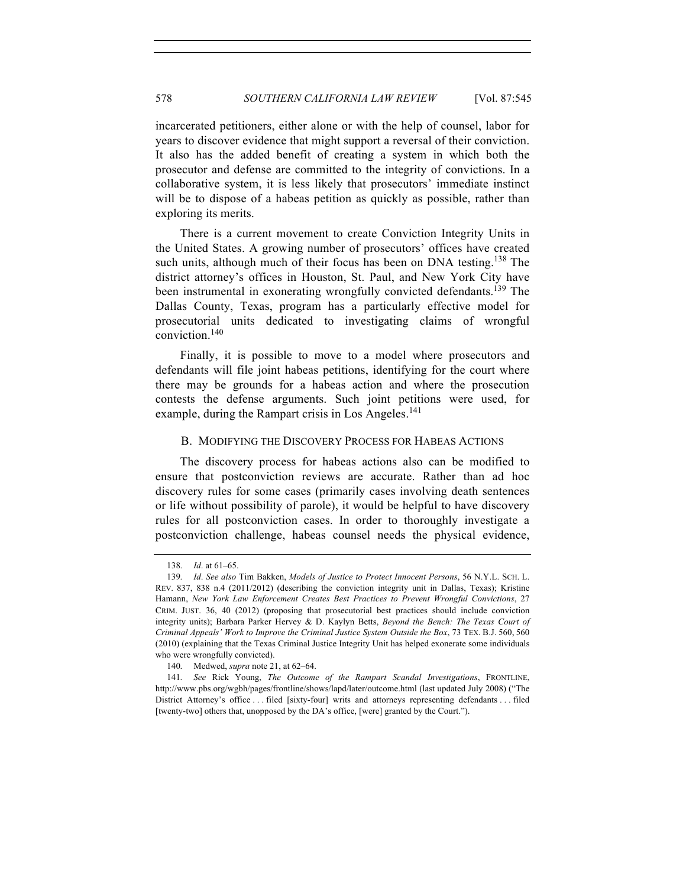incarcerated petitioners, either alone or with the help of counsel, labor for years to discover evidence that might support a reversal of their conviction. It also has the added benefit of creating a system in which both the prosecutor and defense are committed to the integrity of convictions. In a collaborative system, it is less likely that prosecutors' immediate instinct will be to dispose of a habeas petition as quickly as possible, rather than exploring its merits.

There is a current movement to create Conviction Integrity Units in the United States. A growing number of prosecutors' offices have created such units, although much of their focus has been on DNA testing.<sup>138</sup> The district attorney's offices in Houston, St. Paul, and New York City have been instrumental in exonerating wrongfully convicted defendants.<sup>139</sup> The Dallas County, Texas, program has a particularly effective model for prosecutorial units dedicated to investigating claims of wrongful conviction.<sup>140</sup>

Finally, it is possible to move to a model where prosecutors and defendants will file joint habeas petitions, identifying for the court where there may be grounds for a habeas action and where the prosecution contests the defense arguments. Such joint petitions were used, for example, during the Rampart crisis in Los Angeles. $141$ 

#### B. MODIFYING THE DISCOVERY PROCESS FOR HABEAS ACTIONS

The discovery process for habeas actions also can be modified to ensure that postconviction reviews are accurate. Rather than ad hoc discovery rules for some cases (primarily cases involving death sentences or life without possibility of parole), it would be helpful to have discovery rules for all postconviction cases. In order to thoroughly investigate a postconviction challenge, habeas counsel needs the physical evidence,

<sup>138.</sup> *Id*. at 61–65.

<sup>139.</sup> *Id*. *See also* Tim Bakken, *Models of Justice to Protect Innocent Persons*, 56 N.Y.L. SCH. L. REV. 837, 838 n.4 (2011/2012) (describing the conviction integrity unit in Dallas, Texas); Kristine Hamann, *New York Law Enforcement Creates Best Practices to Prevent Wrongful Convictions*, 27 CRIM. JUST. 36, 40 (2012) (proposing that prosecutorial best practices should include conviction integrity units); Barbara Parker Hervey & D. Kaylyn Betts, *Beyond the Bench: The Texas Court of Criminal Appeals' Work to Improve the Criminal Justice System Outside the Box*, 73 TEX. B.J. 560, 560 (2010) (explaining that the Texas Criminal Justice Integrity Unit has helped exonerate some individuals who were wrongfully convicted).

<sup>140.</sup> Medwed, *supra* note 21, at 62–64.

<sup>141.</sup> *See* Rick Young, *The Outcome of the Rampart Scandal Investigations*, FRONTLINE, http://www.pbs.org/wgbh/pages/frontline/shows/lapd/later/outcome.html (last updated July 2008) ("The District Attorney's office . . . filed [sixty-four] writs and attorneys representing defendants . . . filed [twenty-two] others that, unopposed by the DA's office, [were] granted by the Court.").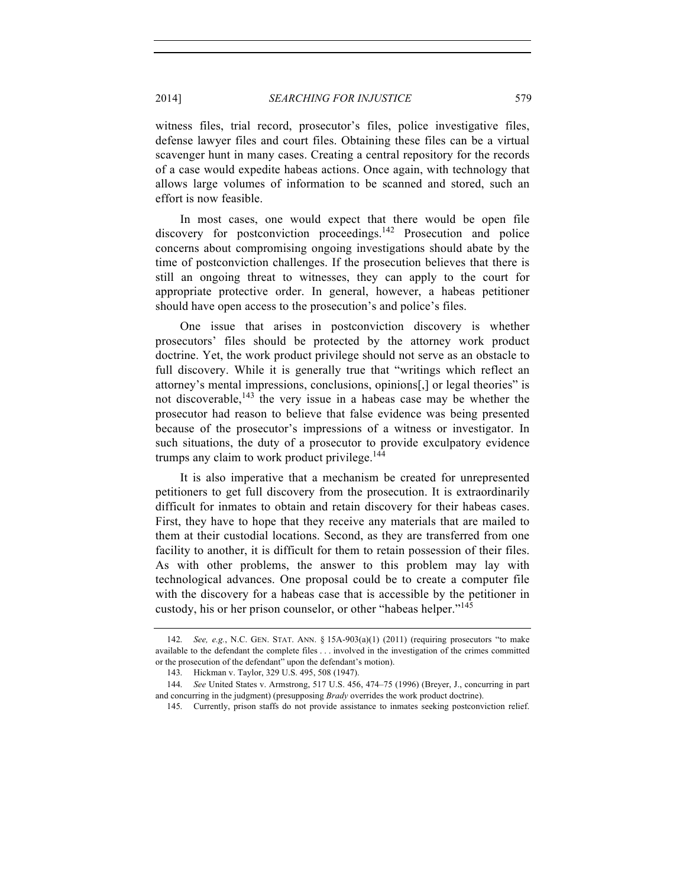witness files, trial record, prosecutor's files, police investigative files, defense lawyer files and court files. Obtaining these files can be a virtual scavenger hunt in many cases. Creating a central repository for the records of a case would expedite habeas actions. Once again, with technology that allows large volumes of information to be scanned and stored, such an effort is now feasible.

In most cases, one would expect that there would be open file discovery for postconviction proceedings.<sup>142</sup> Prosecution and police concerns about compromising ongoing investigations should abate by the time of postconviction challenges. If the prosecution believes that there is still an ongoing threat to witnesses, they can apply to the court for appropriate protective order. In general, however, a habeas petitioner should have open access to the prosecution's and police's files.

One issue that arises in postconviction discovery is whether prosecutors' files should be protected by the attorney work product doctrine. Yet, the work product privilege should not serve as an obstacle to full discovery. While it is generally true that "writings which reflect an attorney's mental impressions, conclusions, opinions[,] or legal theories" is not discoverable,  $^{143}$  the very issue in a habeas case may be whether the prosecutor had reason to believe that false evidence was being presented because of the prosecutor's impressions of a witness or investigator. In such situations, the duty of a prosecutor to provide exculpatory evidence trumps any claim to work product privilege. $144$ 

It is also imperative that a mechanism be created for unrepresented petitioners to get full discovery from the prosecution. It is extraordinarily difficult for inmates to obtain and retain discovery for their habeas cases. First, they have to hope that they receive any materials that are mailed to them at their custodial locations. Second, as they are transferred from one facility to another, it is difficult for them to retain possession of their files. As with other problems, the answer to this problem may lay with technological advances. One proposal could be to create a computer file with the discovery for a habeas case that is accessible by the petitioner in custody, his or her prison counselor, or other "habeas helper."<sup>145</sup>

<sup>142.</sup> *See, e.g.*, N.C. GEN. STAT. ANN. § 15A-903(a)(1) (2011) (requiring prosecutors "to make available to the defendant the complete files . . . involved in the investigation of the crimes committed or the prosecution of the defendant" upon the defendant's motion).

<sup>143.</sup> Hickman v. Taylor, 329 U.S. 495, 508 (1947).

<sup>144.</sup> *See* United States v. Armstrong, 517 U.S. 456, 474–75 (1996) (Breyer, J., concurring in part and concurring in the judgment) (presupposing *Brady* overrides the work product doctrine).

<sup>145.</sup> Currently, prison staffs do not provide assistance to inmates seeking postconviction relief.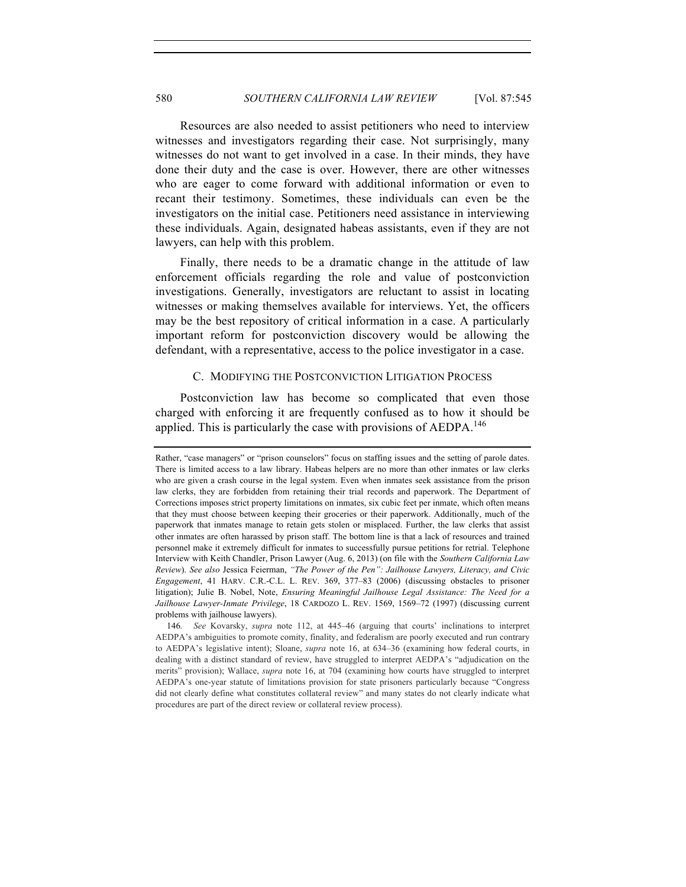Resources are also needed to assist petitioners who need to interview witnesses and investigators regarding their case. Not surprisingly, many witnesses do not want to get involved in a case. In their minds, they have done their duty and the case is over. However, there are other witnesses who are eager to come forward with additional information or even to recant their testimony. Sometimes, these individuals can even be the investigators on the initial case. Petitioners need assistance in interviewing these individuals. Again, designated habeas assistants, even if they are not lawyers, can help with this problem.

Finally, there needs to be a dramatic change in the attitude of law enforcement officials regarding the role and value of postconviction investigations. Generally, investigators are reluctant to assist in locating witnesses or making themselves available for interviews. Yet, the officers may be the best repository of critical information in a case. A particularly important reform for postconviction discovery would be allowing the defendant, with a representative, access to the police investigator in a case.

## C. MODIFYING THE POSTCONVICTION LITIGATION PROCESS

Postconviction law has become so complicated that even those charged with enforcing it are frequently confused as to how it should be applied. This is particularly the case with provisions of  $AEDPA$ <sup>146</sup>

Rather, "case managers" or "prison counselors" focus on staffing issues and the setting of parole dates. There is limited access to a law library. Habeas helpers are no more than other inmates or law clerks who are given a crash course in the legal system. Even when inmates seek assistance from the prison law clerks, they are forbidden from retaining their trial records and paperwork. The Department of Corrections imposes strict property limitations on inmates, six cubic feet per inmate, which often means that they must choose between keeping their groceries or their paperwork. Additionally, much of the paperwork that inmates manage to retain gets stolen or misplaced. Further, the law clerks that assist other inmates are often harassed by prison staff. The bottom line is that a lack of resources and trained personnel make it extremely difficult for inmates to successfully pursue petitions for retrial. Telephone Interview with Keith Chandler, Prison Lawyer (Aug. 6, 2013) (on file with the *Southern California Law Review*). *See also* Jessica Feierman, *"The Power of the Pen": Jailhouse Lawyers, Literacy, and Civic Engagement*, 41 HARV. C.R.-C.L. L. REV. 369, 377–83 (2006) (discussing obstacles to prisoner litigation); Julie B. Nobel, Note, *Ensuring Meaningful Jailhouse Legal Assistance: The Need for a Jailhouse Lawyer-Inmate Privilege*, 18 CARDOZO L. REV. 1569, 1569–72 (1997) (discussing current problems with jailhouse lawyers).

<sup>146.</sup> *See* Kovarsky, *supra* note 112, at 445–46 (arguing that courts' inclinations to interpret AEDPA's ambiguities to promote comity, finality, and federalism are poorly executed and run contrary to AEDPA's legislative intent); Sloane, *supra* note 16, at 634–36 (examining how federal courts, in dealing with a distinct standard of review, have struggled to interpret AEDPA's "adjudication on the merits" provision); Wallace, *supra* note 16, at 704 (examining how courts have struggled to interpret AEDPA's one-year statute of limitations provision for state prisoners particularly because "Congress did not clearly define what constitutes collateral review" and many states do not clearly indicate what procedures are part of the direct review or collateral review process).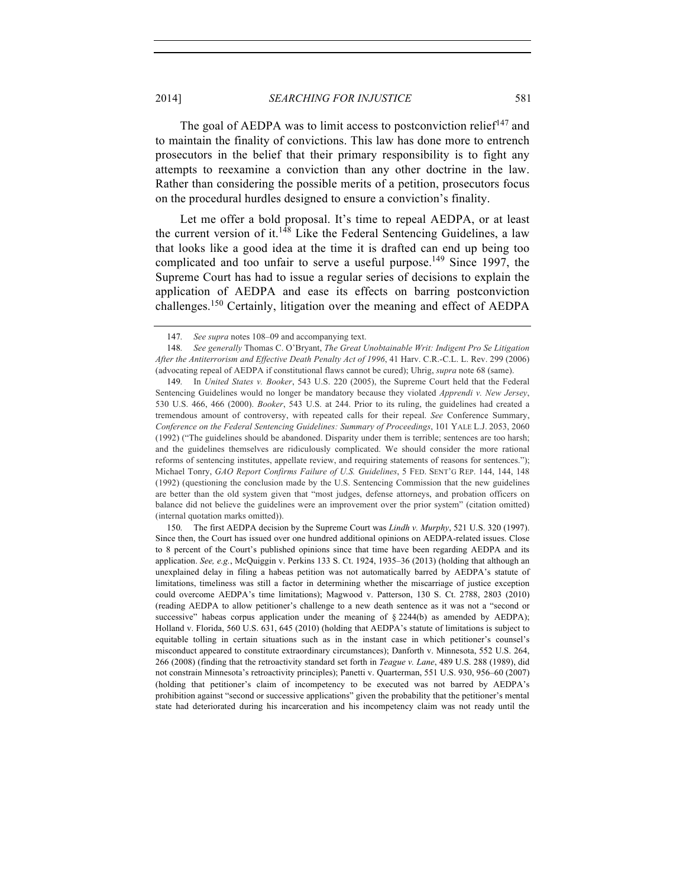The goal of AEDPA was to limit access to postconviction relief $147$  and to maintain the finality of convictions. This law has done more to entrench prosecutors in the belief that their primary responsibility is to fight any attempts to reexamine a conviction than any other doctrine in the law. Rather than considering the possible merits of a petition, prosecutors focus on the procedural hurdles designed to ensure a conviction's finality.

Let me offer a bold proposal. It's time to repeal AEDPA, or at least the current version of it.<sup>148</sup> Like the Federal Sentencing Guidelines, a law that looks like a good idea at the time it is drafted can end up being too complicated and too unfair to serve a useful purpose.<sup>149</sup> Since 1997, the Supreme Court has had to issue a regular series of decisions to explain the application of AEDPA and ease its effects on barring postconviction challenges.<sup>150</sup> Certainly, litigation over the meaning and effect of AEDPA

<sup>147.</sup> *See supra* notes 108–09 and accompanying text.

<sup>148.</sup> *See generally* Thomas C. O'Bryant, *The Great Unobtainable Writ: Indigent Pro Se Litigation After the Antiterrorism and Effective Death Penalty Act of 1996*, 41 Harv. C.R.-C.L. L. Rev. 299 (2006) (advocating repeal of AEDPA if constitutional flaws cannot be cured); Uhrig, *supra* note 68 (same).

<sup>149.</sup> In *United States v. Booker*, 543 U.S. 220 (2005), the Supreme Court held that the Federal Sentencing Guidelines would no longer be mandatory because they violated *Apprendi v. New Jersey*, 530 U.S. 466, 466 (2000). *Booker*, 543 U.S. at 244. Prior to its ruling, the guidelines had created a tremendous amount of controversy, with repeated calls for their repeal. *See* Conference Summary, *Conference on the Federal Sentencing Guidelines: Summary of Proceedings*, 101 YALE L.J. 2053, 2060 (1992) ("The guidelines should be abandoned. Disparity under them is terrible; sentences are too harsh; and the guidelines themselves are ridiculously complicated. We should consider the more rational reforms of sentencing institutes, appellate review, and requiring statements of reasons for sentences."); Michael Tonry, *GAO Report Confirms Failure of U.S. Guidelines*, 5 FED. SENT'G REP. 144, 144, 148 (1992) (questioning the conclusion made by the U.S. Sentencing Commission that the new guidelines are better than the old system given that "most judges, defense attorneys, and probation officers on balance did not believe the guidelines were an improvement over the prior system" (citation omitted) (internal quotation marks omitted)).

<sup>150.</sup> The first AEDPA decision by the Supreme Court was *Lindh v. Murphy*, 521 U.S. 320 (1997). Since then, the Court has issued over one hundred additional opinions on AEDPA-related issues. Close to 8 percent of the Court's published opinions since that time have been regarding AEDPA and its application. *See, e.g.*, McQuiggin v. Perkins 133 S. Ct. 1924, 1935–36 (2013) (holding that although an unexplained delay in filing a habeas petition was not automatically barred by AEDPA's statute of limitations, timeliness was still a factor in determining whether the miscarriage of justice exception could overcome AEDPA's time limitations); Magwood v. Patterson, 130 S. Ct. 2788, 2803 (2010) (reading AEDPA to allow petitioner's challenge to a new death sentence as it was not a "second or successive" habeas corpus application under the meaning of  $\S 2244(b)$  as amended by AEDPA); Holland v. Florida, 560 U.S. 631, 645 (2010) (holding that AEDPA's statute of limitations is subject to equitable tolling in certain situations such as in the instant case in which petitioner's counsel's misconduct appeared to constitute extraordinary circumstances); Danforth v. Minnesota, 552 U.S. 264, 266 (2008) (finding that the retroactivity standard set forth in *Teague v. Lane*, 489 U.S. 288 (1989), did not constrain Minnesota's retroactivity principles); Panetti v. Quarterman, 551 U.S. 930, 956–60 (2007) (holding that petitioner's claim of incompetency to be executed was not barred by AEDPA's prohibition against "second or successive applications" given the probability that the petitioner's mental state had deteriorated during his incarceration and his incompetency claim was not ready until the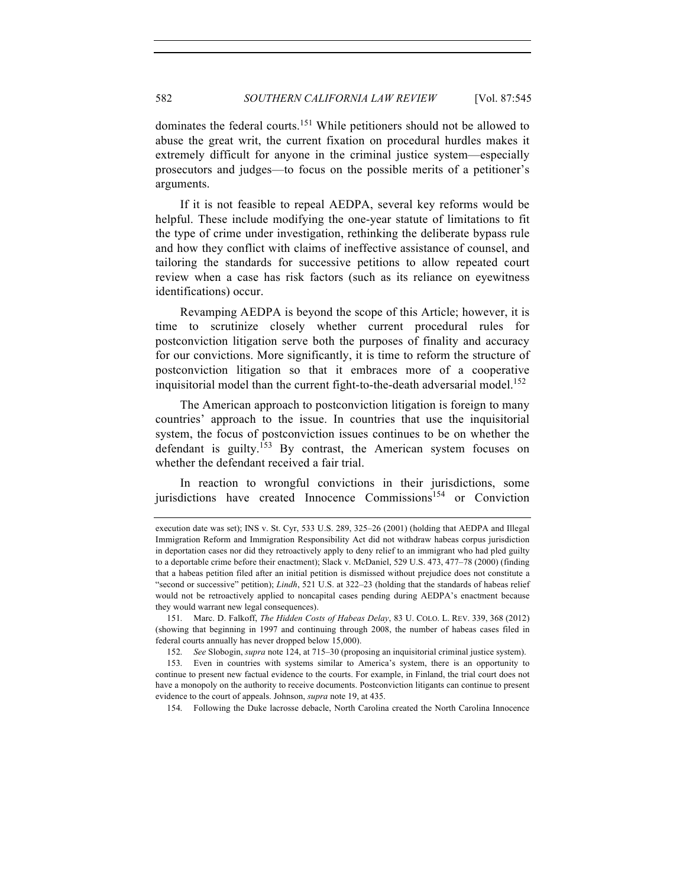dominates the federal courts.<sup>151</sup> While petitioners should not be allowed to abuse the great writ, the current fixation on procedural hurdles makes it extremely difficult for anyone in the criminal justice system—especially prosecutors and judges—to focus on the possible merits of a petitioner's arguments.

If it is not feasible to repeal AEDPA, several key reforms would be helpful. These include modifying the one-year statute of limitations to fit the type of crime under investigation, rethinking the deliberate bypass rule and how they conflict with claims of ineffective assistance of counsel, and tailoring the standards for successive petitions to allow repeated court review when a case has risk factors (such as its reliance on eyewitness identifications) occur.

Revamping AEDPA is beyond the scope of this Article; however, it is time to scrutinize closely whether current procedural rules for postconviction litigation serve both the purposes of finality and accuracy for our convictions. More significantly, it is time to reform the structure of postconviction litigation so that it embraces more of a cooperative inquisitorial model than the current fight-to-the-death adversarial model.<sup>152</sup>

The American approach to postconviction litigation is foreign to many countries' approach to the issue. In countries that use the inquisitorial system, the focus of postconviction issues continues to be on whether the defendant is guilty.<sup>153</sup> By contrast, the American system focuses on whether the defendant received a fair trial.

In reaction to wrongful convictions in their jurisdictions, some jurisdictions have created Innocence Commissions<sup>154</sup> or Conviction

154. Following the Duke lacrosse debacle, North Carolina created the North Carolina Innocence

execution date was set); INS v. St. Cyr, 533 U.S. 289, 325–26 (2001) (holding that AEDPA and Illegal Immigration Reform and Immigration Responsibility Act did not withdraw habeas corpus jurisdiction in deportation cases nor did they retroactively apply to deny relief to an immigrant who had pled guilty to a deportable crime before their enactment); Slack v. McDaniel, 529 U.S. 473, 477–78 (2000) (finding that a habeas petition filed after an initial petition is dismissed without prejudice does not constitute a "second or successive" petition); *Lindh*, 521 U.S. at 322–23 (holding that the standards of habeas relief would not be retroactively applied to noncapital cases pending during AEDPA's enactment because they would warrant new legal consequences).

<sup>151.</sup> Marc. D. Falkoff, *The Hidden Costs of Habeas Delay*, 83 U. COLO. L. REV. 339, 368 (2012) (showing that beginning in 1997 and continuing through 2008, the number of habeas cases filed in federal courts annually has never dropped below 15,000).

<sup>152.</sup> *See* Slobogin, *supra* note 124, at 715–30 (proposing an inquisitorial criminal justice system).

<sup>153.</sup> Even in countries with systems similar to America's system, there is an opportunity to continue to present new factual evidence to the courts. For example, in Finland, the trial court does not have a monopoly on the authority to receive documents. Postconviction litigants can continue to present evidence to the court of appeals. Johnson, *supra* note 19, at 435.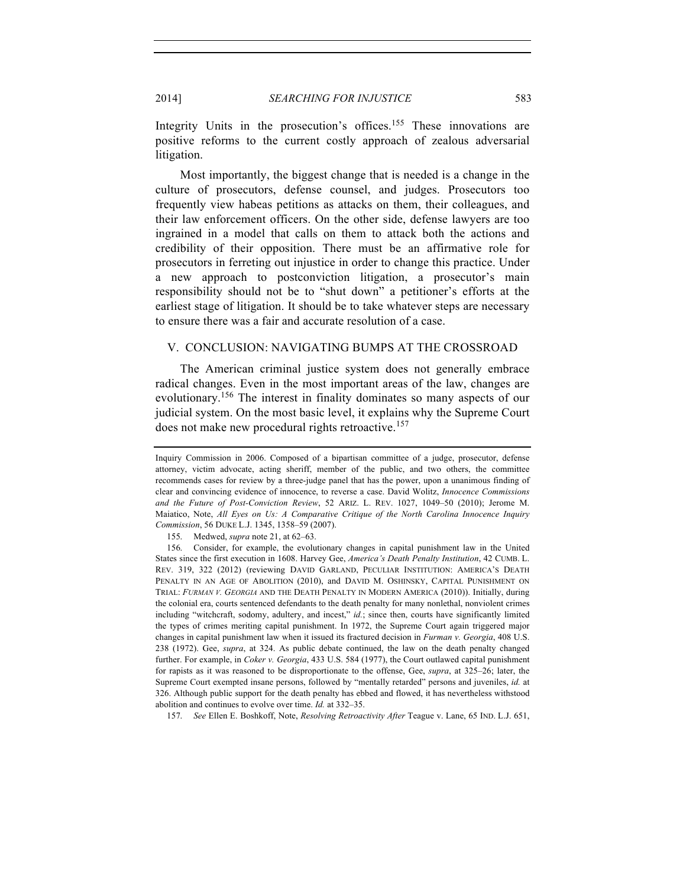Integrity Units in the prosecution's offices.<sup>155</sup> These innovations are positive reforms to the current costly approach of zealous adversarial litigation.

Most importantly, the biggest change that is needed is a change in the culture of prosecutors, defense counsel, and judges. Prosecutors too frequently view habeas petitions as attacks on them, their colleagues, and their law enforcement officers. On the other side, defense lawyers are too ingrained in a model that calls on them to attack both the actions and credibility of their opposition. There must be an affirmative role for prosecutors in ferreting out injustice in order to change this practice. Under a new approach to postconviction litigation, a prosecutor's main responsibility should not be to "shut down" a petitioner's efforts at the earliest stage of litigation. It should be to take whatever steps are necessary to ensure there was a fair and accurate resolution of a case.

## V. CONCLUSION: NAVIGATING BUMPS AT THE CROSSROAD

The American criminal justice system does not generally embrace radical changes. Even in the most important areas of the law, changes are evolutionary.<sup>156</sup> The interest in finality dominates so many aspects of our judicial system. On the most basic level, it explains why the Supreme Court does not make new procedural rights retroactive.<sup>157</sup>

155. Medwed, *supra* note 21, at 62–63.

157. *See* Ellen E. Boshkoff, Note, *Resolving Retroactivity After* Teague v. Lane, 65 IND. L.J. 651,

Inquiry Commission in 2006. Composed of a bipartisan committee of a judge, prosecutor, defense attorney, victim advocate, acting sheriff, member of the public, and two others, the committee recommends cases for review by a three-judge panel that has the power, upon a unanimous finding of clear and convincing evidence of innocence, to reverse a case. David Wolitz, *Innocence Commissions and the Future of Post-Conviction Review*, 52 ARIZ. L. REV. 1027, 1049–50 (2010); Jerome M. Maiatico, Note, *All Eyes on Us: A Comparative Critique of the North Carolina Innocence Inquiry Commission*, 56 DUKE L.J. 1345, 1358–59 (2007).

<sup>156.</sup> Consider, for example, the evolutionary changes in capital punishment law in the United States since the first execution in 1608. Harvey Gee, *America's Death Penalty Institution*, 42 CUMB. L. REV. 319, 322 (2012) (reviewing DAVID GARLAND, PECULIAR INSTITUTION: AMERICA'S DEATH PENALTY IN AN AGE OF ABOLITION (2010), and DAVID M. OSHINSKY, CAPITAL PUNISHMENT ON TRIAL: *FURMAN V. GEORGIA* AND THE DEATH PENALTY IN MODERN AMERICA (2010)). Initially, during the colonial era, courts sentenced defendants to the death penalty for many nonlethal, nonviolent crimes including "witchcraft, sodomy, adultery, and incest," *id.*; since then, courts have significantly limited the types of crimes meriting capital punishment. In 1972, the Supreme Court again triggered major changes in capital punishment law when it issued its fractured decision in *Furman v. Georgia*, 408 U.S. 238 (1972). Gee, *supra*, at 324. As public debate continued, the law on the death penalty changed further. For example, in *Coker v. Georgia*, 433 U.S. 584 (1977), the Court outlawed capital punishment for rapists as it was reasoned to be disproportionate to the offense, Gee, *supra*, at 325–26; later, the Supreme Court exempted insane persons, followed by "mentally retarded" persons and juveniles, *id.* at 326. Although public support for the death penalty has ebbed and flowed, it has nevertheless withstood abolition and continues to evolve over time. *Id.* at 332–35.